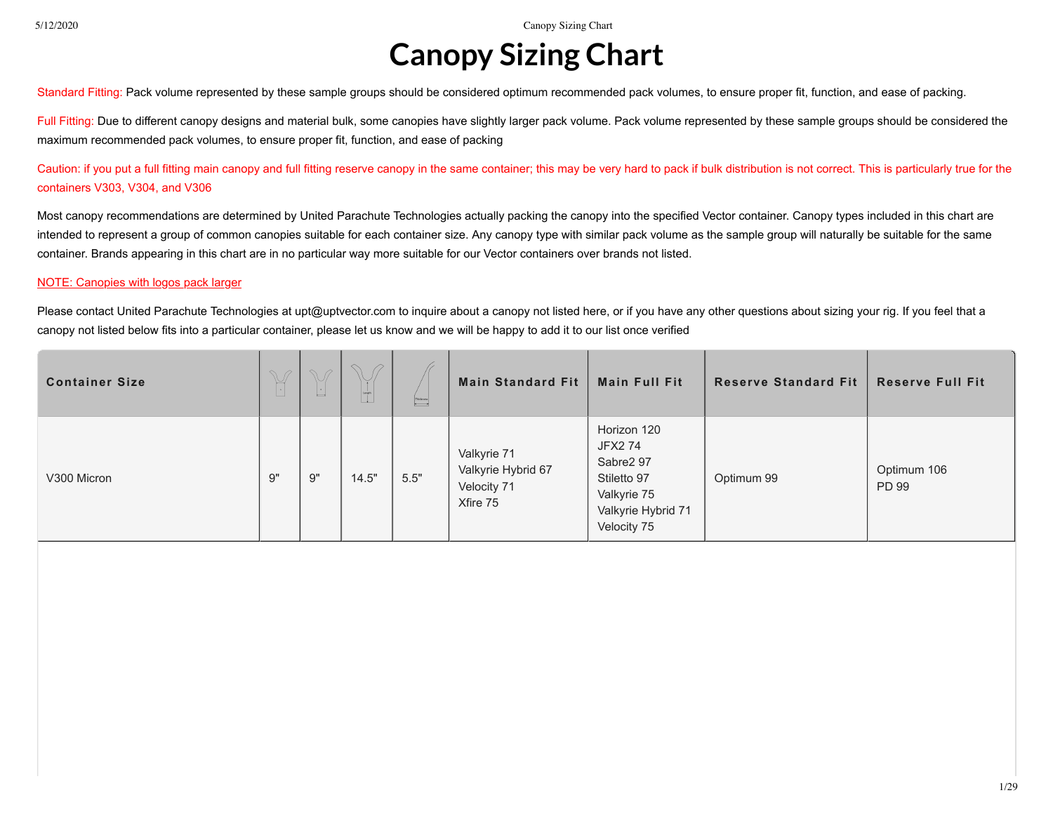## **Canopy Sizing Chart**

Standard Fitting: Pack volume represented by these sample groups should be considered optimum recommended pack volumes, to ensure proper fit, function, and ease of packing.

Full Fitting: Due to different canopy designs and material bulk, some canopies have slightly larger pack volume. Pack volume represented by these sample groups should be considered the maximum recommended pack volumes, to ensure proper fit, function, and ease of packing

Caution: if you put a full fitting main canopy and full fitting reserve canopy in the same container; this may be very hard to pack if bulk distribution is not correct. This is particularly true for the containers V303, V304, and V306

Most canopy recommendations are determined by United Parachute Technologies actually packing the canopy into the specified Vector container. Canopy types included in this chart are intended to represent a group of common canopies suitable for each container size. Any canopy type with similar pack volume as the sample group will naturally be suitable for the same container. Brands appearing in this chart are in no particular way more suitable for our Vector containers over brands not listed.

## NOTE: Canopies with logos pack larger

Please contact United Parachute Technologies at upt@uptvector.com to inquire about a canopy not listed here, or if you have any other questions about sizing your rig. If you feel that a canopy not listed below fits into a particular container, please let us know and we will be happy to add it to our list once verified

| <b>Container Size</b> | $\mathbb{Y}$ | $\varphi$<br>$\begin{bmatrix} 1 & 1 \\ 1 & 1 \end{bmatrix}$ | $\triangleright$<br>$\sqrt{2}$<br>Y<br>$\begin{array}{c c} \hline \quad \quad & \quad \quad & \quad \quad \\ \hline \text{Length} & \quad \quad & \quad \quad \\ \hline \end{array}$ | $\begin{tabular}{ c c } \hline \textbf{Windows} \\ \hline \end{tabular}$ | <b>Main Standard Fit</b>                                     | <b>Main Full Fit</b>                                                                                   | <b>Reserve Standard Fit</b> | <b>Reserve Full Fit</b> |
|-----------------------|--------------|-------------------------------------------------------------|--------------------------------------------------------------------------------------------------------------------------------------------------------------------------------------|--------------------------------------------------------------------------|--------------------------------------------------------------|--------------------------------------------------------------------------------------------------------|-----------------------------|-------------------------|
| V300 Micron           | 9"           | 9"                                                          | 14.5"                                                                                                                                                                                | 5.5"                                                                     | Valkyrie 71<br>Valkyrie Hybrid 67<br>Velocity 71<br>Xfire 75 | Horizon 120<br>JFX2 74<br>Sabre2 97<br>Stiletto 97<br>Valkyrie 75<br>Valkyrie Hybrid 71<br>Velocity 75 | Optimum 99                  | Optimum 106<br>PD 99    |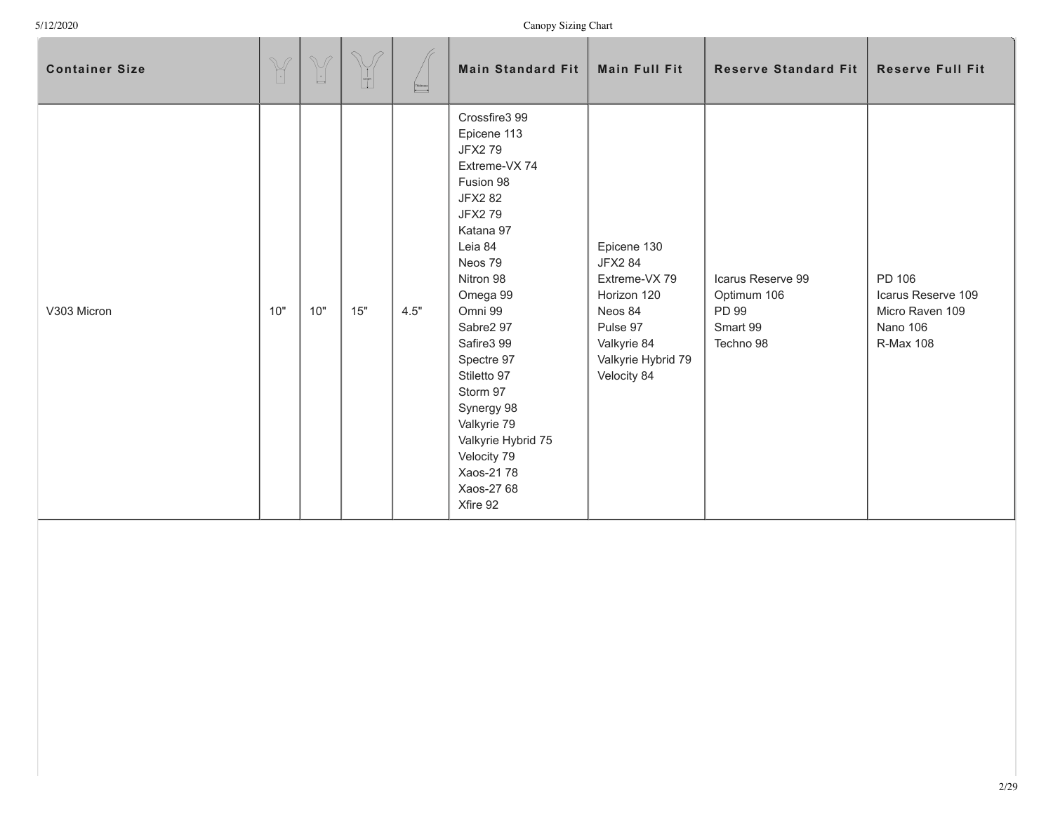| <b>Container Size</b> | $\mathbb{Y}$ | $\mathbb{V}$<br>$\overline{\phantom{a}}$ | $\curvearrowright$<br>P<br>$\begin{bmatrix} 1 \\ 1 \\ 0 \end{bmatrix}$ | $\begin{tabular}{ c c } \hline \textbf{Didones} & \textbf{Didones} & \textbf{Didens} \\ \hline \hline \end{tabular}$ | <b>Main Standard Fit</b>                                                                                                                                                                                                                                                                                                                                           | <b>Main Full Fit</b>                                                                                                                     | <b>Reserve Standard Fit</b>                                        | <b>Reserve Full Fit</b>                                                         |
|-----------------------|--------------|------------------------------------------|------------------------------------------------------------------------|----------------------------------------------------------------------------------------------------------------------|--------------------------------------------------------------------------------------------------------------------------------------------------------------------------------------------------------------------------------------------------------------------------------------------------------------------------------------------------------------------|------------------------------------------------------------------------------------------------------------------------------------------|--------------------------------------------------------------------|---------------------------------------------------------------------------------|
| V303 Micron           | 10"          | 10"                                      | 15"                                                                    | 4.5"                                                                                                                 | Crossfire3 99<br>Epicene 113<br><b>JFX279</b><br>Extreme-VX 74<br>Fusion 98<br><b>JFX2 82</b><br><b>JFX279</b><br>Katana 97<br>Leia 84<br>Neos 79<br>Nitron 98<br>Omega 99<br>Omni 99<br>Sabre2 97<br>Safire3 99<br>Spectre 97<br>Stiletto 97<br>Storm 97<br>Synergy 98<br>Valkyrie 79<br>Valkyrie Hybrid 75<br>Velocity 79<br>Xaos-2178<br>Xaos-27 68<br>Xfire 92 | Epicene 130<br><b>JFX2 84</b><br>Extreme-VX 79<br>Horizon 120<br>Neos 84<br>Pulse 97<br>Valkyrie 84<br>Valkyrie Hybrid 79<br>Velocity 84 | Icarus Reserve 99<br>Optimum 106<br>PD 99<br>Smart 99<br>Techno 98 | PD 106<br>Icarus Reserve 109<br>Micro Raven 109<br>Nano 106<br><b>R-Max 108</b> |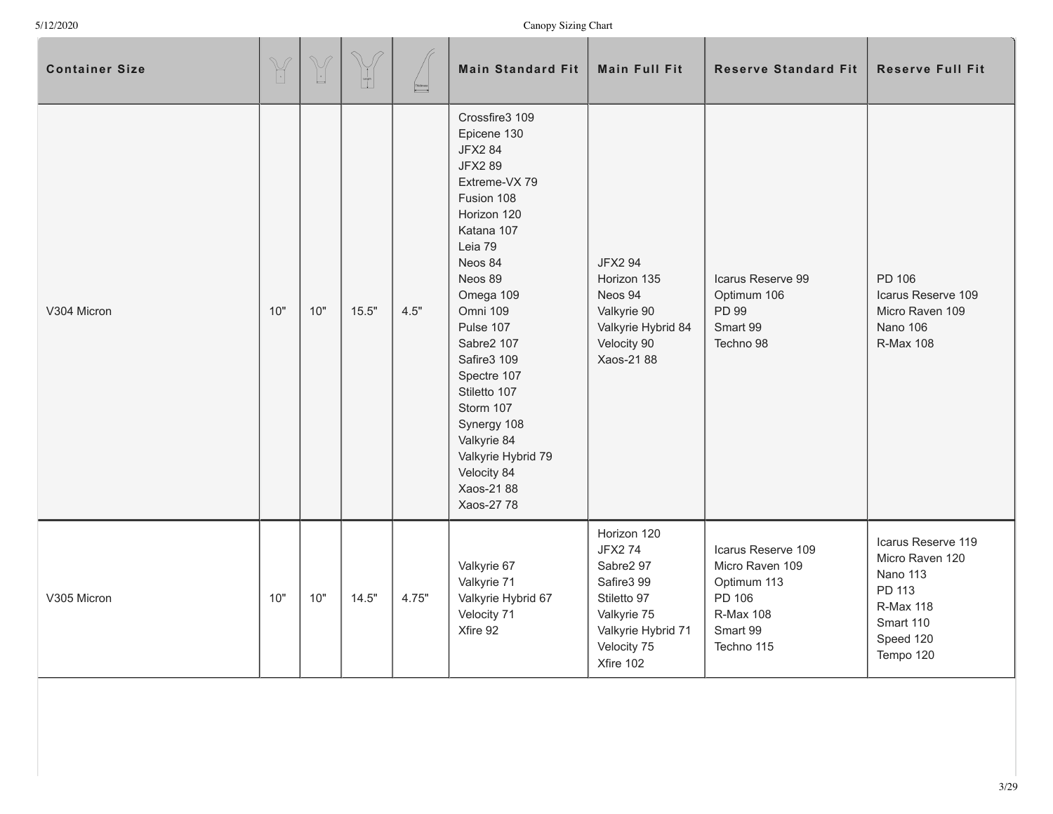| <b>Container Size</b> | $\begin{picture}(42,14) \put(0,0){\vector(0,1){10}} \put(15,0){\vector(0,1){10}} \put(15,0){\vector(0,1){10}} \put(15,0){\vector(0,1){10}} \put(15,0){\vector(0,1){10}} \put(15,0){\vector(0,1){10}} \put(15,0){\vector(0,1){10}} \put(15,0){\vector(0,1){10}} \put(15,0){\vector(0,1){10}} \put(15,0){\vector(0,1){10}} \put(15,0){\vector(0,1){10}} \put(15,0){\vector(0$ | $\begin{picture}(220,20) \put(0,0){\dashbox{0.5}(5,0){ }} \put(15,0){\dashbox{0.5}(5,0){ }} \put(15,0){\dashbox{0.5}(5,0){ }} \put(15,0){\dashbox{0.5}(5,0){ }} \put(15,0){\dashbox{0.5}(5,0){ }} \put(15,0){\dashbox{0.5}(5,0){ }} \put(15,0){\dashbox{0.5}(5,0){ }} \put(15,0){\dashbox{0.5}(5,0){ }} \put(15,0){\dashbox{0.5}(5,0){ }} \put(15,0){\dashbox{0.5}(5,0){$ | $\begin{picture}(120,20) \put(0,0){\line(1,0){10}} \put(15,0){\line(1,0){10}} \put(15,0){\line(1,0){10}} \put(15,0){\line(1,0){10}} \put(15,0){\line(1,0){10}} \put(15,0){\line(1,0){10}} \put(15,0){\line(1,0){10}} \put(15,0){\line(1,0){10}} \put(15,0){\line(1,0){10}} \put(15,0){\line(1,0){10}} \put(15,0){\line(1,0){10}} \put(15,0){\line($ | Thidosess | <b>Main Standard Fit</b>                                                                                                                                                                                                                                                                                                                                                   | <b>Main Full Fit</b>                                                                                                                    | <b>Reserve Standard Fit</b>                                                                                  | <b>Reserve Full Fit</b>                                                                                                |
|-----------------------|-----------------------------------------------------------------------------------------------------------------------------------------------------------------------------------------------------------------------------------------------------------------------------------------------------------------------------------------------------------------------------|---------------------------------------------------------------------------------------------------------------------------------------------------------------------------------------------------------------------------------------------------------------------------------------------------------------------------------------------------------------------------|-----------------------------------------------------------------------------------------------------------------------------------------------------------------------------------------------------------------------------------------------------------------------------------------------------------------------------------------------------|-----------|----------------------------------------------------------------------------------------------------------------------------------------------------------------------------------------------------------------------------------------------------------------------------------------------------------------------------------------------------------------------------|-----------------------------------------------------------------------------------------------------------------------------------------|--------------------------------------------------------------------------------------------------------------|------------------------------------------------------------------------------------------------------------------------|
| V304 Micron           | 10"                                                                                                                                                                                                                                                                                                                                                                         | 10"                                                                                                                                                                                                                                                                                                                                                                       | 15.5"                                                                                                                                                                                                                                                                                                                                               | 4.5"      | Crossfire3 109<br>Epicene 130<br><b>JFX2 84</b><br><b>JFX289</b><br>Extreme-VX 79<br>Fusion 108<br>Horizon 120<br>Katana 107<br>Leia 79<br>Neos 84<br>Neos 89<br>Omega 109<br>Omni 109<br>Pulse 107<br>Sabre2 107<br>Safire3 109<br>Spectre 107<br>Stiletto 107<br>Storm 107<br>Synergy 108<br>Valkyrie 84<br>Valkyrie Hybrid 79<br>Velocity 84<br>Xaos-2188<br>Xaos-27 78 | <b>JFX2 94</b><br>Horizon 135<br>Neos 94<br>Valkyrie 90<br>Valkyrie Hybrid 84<br>Velocity 90<br>Xaos-21 88                              | Icarus Reserve 99<br>Optimum 106<br>PD 99<br>Smart 99<br>Techno 98                                           | PD 106<br>Icarus Reserve 109<br>Micro Raven 109<br>Nano 106<br><b>R-Max 108</b>                                        |
| V305 Micron           | 10"                                                                                                                                                                                                                                                                                                                                                                         | 10"                                                                                                                                                                                                                                                                                                                                                                       | 14.5"                                                                                                                                                                                                                                                                                                                                               | 4.75"     | Valkyrie 67<br>Valkyrie 71<br>Valkyrie Hybrid 67<br>Velocity 71<br>Xfire 92                                                                                                                                                                                                                                                                                                | Horizon 120<br><b>JFX274</b><br>Sabre2 97<br>Safire3 99<br>Stiletto 97<br>Valkyrie 75<br>Valkyrie Hybrid 71<br>Velocity 75<br>Xfire 102 | Icarus Reserve 109<br>Micro Raven 109<br>Optimum 113<br>PD 106<br><b>R-Max 108</b><br>Smart 99<br>Techno 115 | Icarus Reserve 119<br>Micro Raven 120<br>Nano 113<br>PD 113<br><b>R-Max 118</b><br>Smart 110<br>Speed 120<br>Tempo 120 |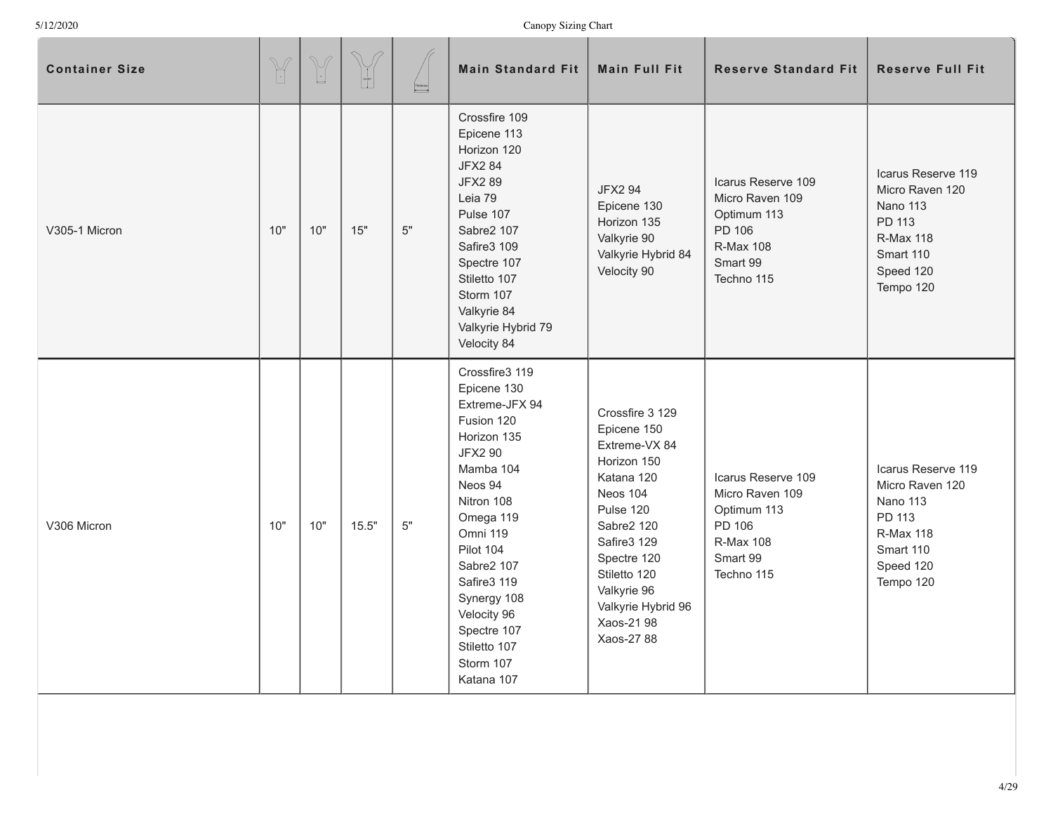| <b>Container Size</b> | $\mathbb{Y}$ | $\begin{picture}(220,20) \put(0,0){\line(1,0){10}} \put(15,0){\line(1,0){10}} \put(15,0){\line(1,0){10}} \put(15,0){\line(1,0){10}} \put(15,0){\line(1,0){10}} \put(15,0){\line(1,0){10}} \put(15,0){\line(1,0){10}} \put(15,0){\line(1,0){10}} \put(15,0){\line(1,0){10}} \put(15,0){\line(1,0){10}} \put(15,0){\line(1,0){10}} \put(15,0){\line($ | $\begin{picture}(120,20) \put(0,0){\line(1,0){10}} \put(15,0){\line(1,0){10}} \put(15,0){\line(1,0){10}} \put(15,0){\line(1,0){10}} \put(15,0){\line(1,0){10}} \put(15,0){\line(1,0){10}} \put(15,0){\line(1,0){10}} \put(15,0){\line(1,0){10}} \put(15,0){\line(1,0){10}} \put(15,0){\line(1,0){10}} \put(15,0){\line(1,0){10}} \put(15,0){\line($ | $\begin{array}{ c c }\hline \textbf{Thissines} \\\hline \end{array}$ | <b>Main Standard Fit</b>                                                                                                                                                                                                                                                                        | <b>Main Full Fit</b>                                                                                                                                                                                                               | <b>Reserve Standard Fit</b>                                                                                  | <b>Reserve Full Fit</b>                                                                                                       |
|-----------------------|--------------|-----------------------------------------------------------------------------------------------------------------------------------------------------------------------------------------------------------------------------------------------------------------------------------------------------------------------------------------------------|-----------------------------------------------------------------------------------------------------------------------------------------------------------------------------------------------------------------------------------------------------------------------------------------------------------------------------------------------------|----------------------------------------------------------------------|-------------------------------------------------------------------------------------------------------------------------------------------------------------------------------------------------------------------------------------------------------------------------------------------------|------------------------------------------------------------------------------------------------------------------------------------------------------------------------------------------------------------------------------------|--------------------------------------------------------------------------------------------------------------|-------------------------------------------------------------------------------------------------------------------------------|
| V305-1 Micron         | 10"          | 10"                                                                                                                                                                                                                                                                                                                                                 | 15"                                                                                                                                                                                                                                                                                                                                                 | $5"$                                                                 | Crossfire 109<br>Epicene 113<br>Horizon 120<br><b>JFX2 84</b><br><b>JFX289</b><br>Leia 79<br>Pulse 107<br>Sabre2 107<br>Safire3 109<br>Spectre 107<br>Stiletto 107<br>Storm 107<br>Valkyrie 84<br>Valkyrie Hybrid 79<br>Velocity 84                                                             | <b>JFX2 94</b><br>Epicene 130<br>Horizon 135<br>Valkyrie 90<br>Valkyrie Hybrid 84<br>Velocity 90                                                                                                                                   | Icarus Reserve 109<br>Micro Raven 109<br>Optimum 113<br>PD 106<br><b>R-Max 108</b><br>Smart 99<br>Techno 115 | Icarus Reserve 119<br>Micro Raven 120<br><b>Nano 113</b><br>PD 113<br><b>R-Max 118</b><br>Smart 110<br>Speed 120<br>Tempo 120 |
| V306 Micron           | 10"          | 10"                                                                                                                                                                                                                                                                                                                                                 | 15.5"                                                                                                                                                                                                                                                                                                                                               | 5"                                                                   | Crossfire3 119<br>Epicene 130<br>Extreme-JFX 94<br>Fusion 120<br>Horizon 135<br><b>JFX2 90</b><br>Mamba 104<br>Neos 94<br>Nitron 108<br>Omega 119<br>Omni 119<br>Pilot 104<br>Sabre2 107<br>Safire3 119<br>Synergy 108<br>Velocity 96<br>Spectre 107<br>Stiletto 107<br>Storm 107<br>Katana 107 | Crossfire 3 129<br>Epicene 150<br>Extreme-VX 84<br>Horizon 150<br>Katana 120<br>Neos 104<br>Pulse 120<br>Sabre2 120<br>Safire3 129<br>Spectre 120<br>Stiletto 120<br>Valkyrie 96<br>Valkyrie Hybrid 96<br>Xaos-21 98<br>Xaos-27 88 | Icarus Reserve 109<br>Micro Raven 109<br>Optimum 113<br>PD 106<br><b>R-Max 108</b><br>Smart 99<br>Techno 115 | Icarus Reserve 119<br>Micro Raven 120<br>Nano 113<br>PD 113<br><b>R-Max 118</b><br>Smart 110<br>Speed 120<br>Tempo 120        |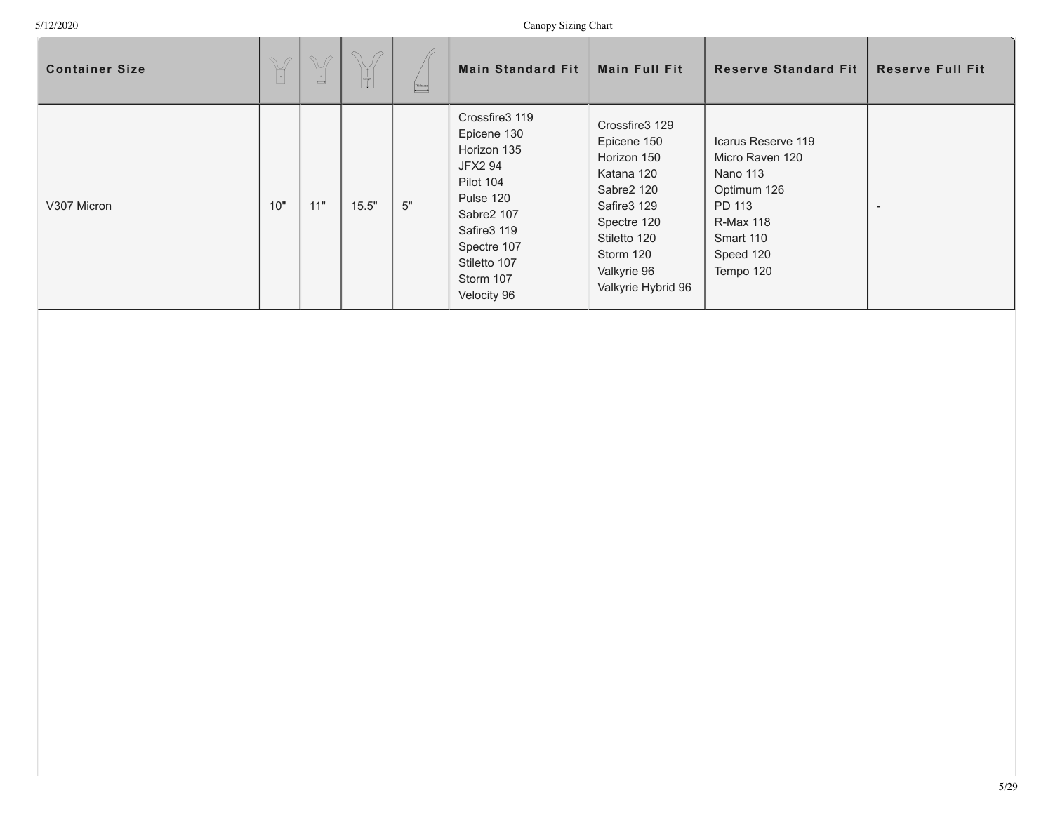| <b>Container Size</b> | $\frac{1}{2}$ | M<br>$\begin{array}{c} \begin{array}{c} \begin{array}{c} \end{array} \end{array} \end{array}$ |       | $\begin{picture}(150,10) \put(0,0){\line(1,0){10}} \put(15,0){\line(1,0){10}} \put(15,0){\line(1,0){10}} \put(15,0){\line(1,0){10}} \put(15,0){\line(1,0){10}} \put(15,0){\line(1,0){10}} \put(15,0){\line(1,0){10}} \put(15,0){\line(1,0){10}} \put(15,0){\line(1,0){10}} \put(15,0){\line(1,0){10}} \put(15,0){\line(1,0){10}} \put(15,0){\line($ | <b>Main Standard Fit</b>                                                                                                                                                                     | <b>Main Full Fit</b>                                                                                                                                                     | <b>Reserve Standard Fit</b>                                                                                                                  | <b>Reserve Full Fit</b>  |
|-----------------------|---------------|-----------------------------------------------------------------------------------------------|-------|-----------------------------------------------------------------------------------------------------------------------------------------------------------------------------------------------------------------------------------------------------------------------------------------------------------------------------------------------------|----------------------------------------------------------------------------------------------------------------------------------------------------------------------------------------------|--------------------------------------------------------------------------------------------------------------------------------------------------------------------------|----------------------------------------------------------------------------------------------------------------------------------------------|--------------------------|
| V307 Micron           | 10"           | 11"                                                                                           | 15.5" | $5"$                                                                                                                                                                                                                                                                                                                                                | Crossfire3 119<br>Epicene 130<br>Horizon 135<br><b>JFX2 94</b><br>Pilot 104<br>Pulse 120<br>Sabre2 107<br>Safire <sub>3</sub> 119<br>Spectre 107<br>Stiletto 107<br>Storm 107<br>Velocity 96 | Crossfire3 129<br>Epicene 150<br>Horizon 150<br>Katana 120<br>Sabre2 120<br>Safire3 129<br>Spectre 120<br>Stiletto 120<br>Storm 120<br>Valkyrie 96<br>Valkyrie Hybrid 96 | Icarus Reserve 119<br>Micro Raven 120<br><b>Nano 113</b><br>Optimum 126<br>PD 113<br><b>R-Max 118</b><br>Smart 110<br>Speed 120<br>Tempo 120 | $\overline{\phantom{0}}$ |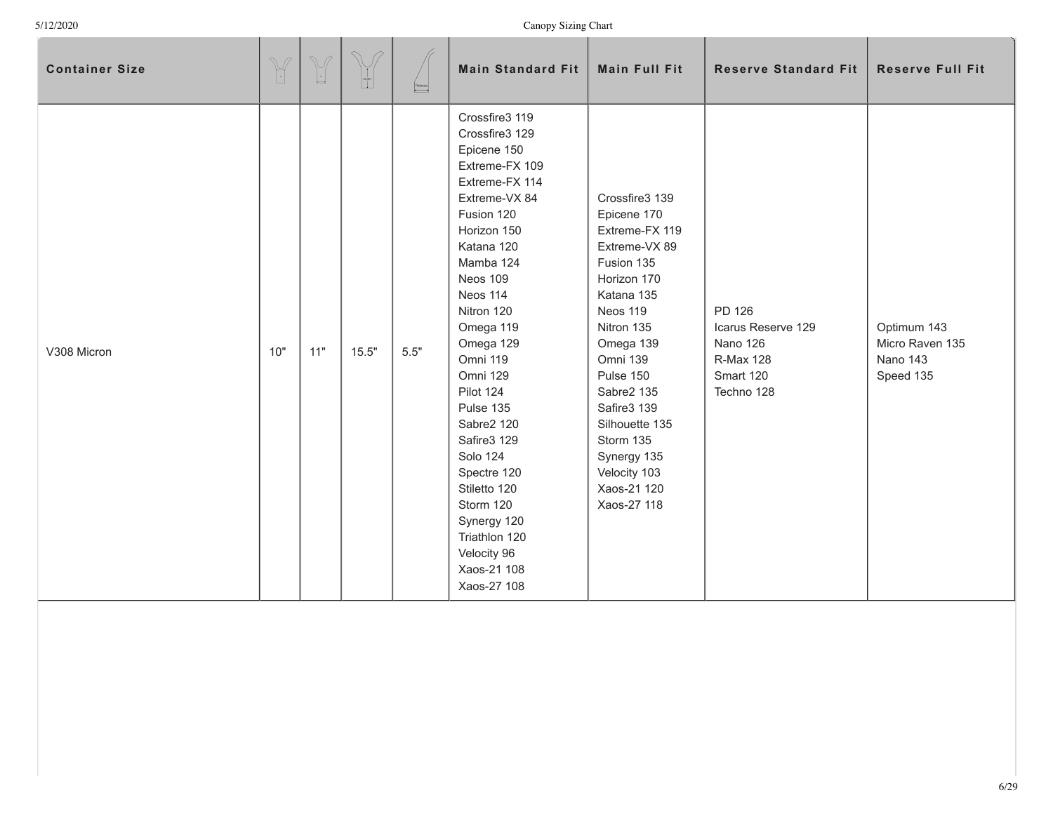| <b>Container Size</b> | $\mathbb{Y}$ | $\begin{picture}(220,20) \put(0,0){\line(1,0){155}} \put(15,0){\line(1,0){155}} \put(15,0){\line(1,0){155}} \put(15,0){\line(1,0){155}} \put(15,0){\line(1,0){155}} \put(15,0){\line(1,0){155}} \put(15,0){\line(1,0){155}} \put(15,0){\line(1,0){155}} \put(15,0){\line(1,0){155}} \put(15,0){\line(1,0){155}} \put(15,0){\line(1,0){155}}$ | $\begin{bmatrix} 1 \\ 1 \\ 0 \end{bmatrix}$ | $\begin{tabular}{ c c } \hline Theones: \end{tabular}$ | <b>Main Standard Fit</b>                                                                                                                                                                                                                                                                                                                                                                                                                                | <b>Main Full Fit</b>                                                                                                                                                                                                                                                                                 | <b>Reserve Standard Fit</b>                                                      | <b>Reserve Full Fit</b>                                 |
|-----------------------|--------------|----------------------------------------------------------------------------------------------------------------------------------------------------------------------------------------------------------------------------------------------------------------------------------------------------------------------------------------------|---------------------------------------------|--------------------------------------------------------|---------------------------------------------------------------------------------------------------------------------------------------------------------------------------------------------------------------------------------------------------------------------------------------------------------------------------------------------------------------------------------------------------------------------------------------------------------|------------------------------------------------------------------------------------------------------------------------------------------------------------------------------------------------------------------------------------------------------------------------------------------------------|----------------------------------------------------------------------------------|---------------------------------------------------------|
| V308 Micron           | 10"          | 11"                                                                                                                                                                                                                                                                                                                                          | 15.5"                                       | 5.5"                                                   | Crossfire3 119<br>Crossfire3 129<br>Epicene 150<br>Extreme-FX 109<br>Extreme-FX 114<br>Extreme-VX 84<br>Fusion 120<br>Horizon 150<br>Katana 120<br>Mamba 124<br>Neos 109<br>Neos 114<br>Nitron 120<br>Omega 119<br>Omega 129<br>Omni 119<br>Omni 129<br>Pilot 124<br>Pulse 135<br>Sabre2 120<br>Safire3 129<br><b>Solo 124</b><br>Spectre 120<br>Stiletto 120<br>Storm 120<br>Synergy 120<br>Triathlon 120<br>Velocity 96<br>Xaos-21 108<br>Xaos-27 108 | Crossfire3 139<br>Epicene 170<br>Extreme-FX 119<br>Extreme-VX 89<br>Fusion 135<br>Horizon 170<br>Katana 135<br>Neos 119<br>Nitron 135<br>Omega 139<br>Omni 139<br>Pulse 150<br>Sabre2 135<br>Safire3 139<br>Silhouette 135<br>Storm 135<br>Synergy 135<br>Velocity 103<br>Xaos-21 120<br>Xaos-27 118 | PD 126<br>Icarus Reserve 129<br>Nano 126<br>R-Max 128<br>Smart 120<br>Techno 128 | Optimum 143<br>Micro Raven 135<br>Nano 143<br>Speed 135 |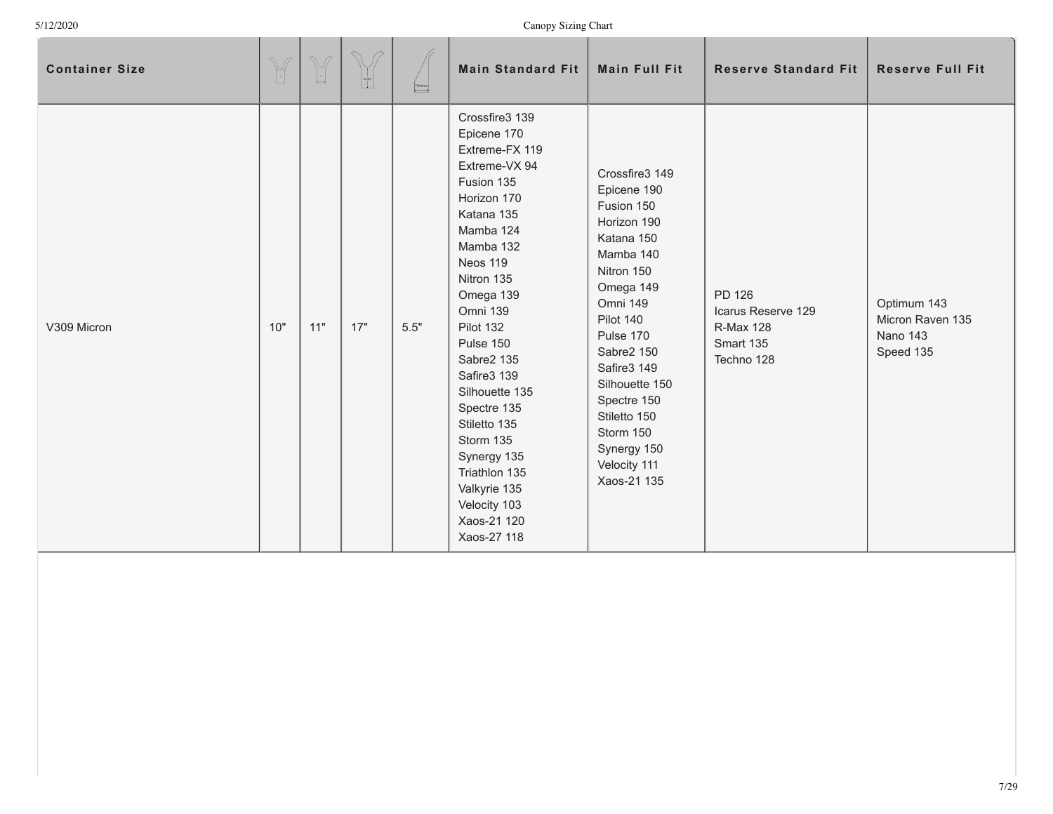| <b>Container Size</b> | $\mathbb{Y}$ | $\mathbb{V}$<br>$\overline{\phantom{a}}$ | $\curvearrowright$<br>$\begin{bmatrix} 1 \\ 1 \\ 0 \\ 1 \end{bmatrix}$ | Thickness<br> | <b>Main Standard Fit</b>                                                                                                                                                                                                                                                                                                                                                                                    | <b>Main Full Fit</b>                                                                                                                                                                                                                                                                            | <b>Reserve Standard Fit</b>                                                 | <b>Reserve Full Fit</b>                                  |
|-----------------------|--------------|------------------------------------------|------------------------------------------------------------------------|---------------|-------------------------------------------------------------------------------------------------------------------------------------------------------------------------------------------------------------------------------------------------------------------------------------------------------------------------------------------------------------------------------------------------------------|-------------------------------------------------------------------------------------------------------------------------------------------------------------------------------------------------------------------------------------------------------------------------------------------------|-----------------------------------------------------------------------------|----------------------------------------------------------|
| V309 Micron           | 10"          | 11"                                      | 17"                                                                    | 5.5"          | Crossfire3 139<br>Epicene 170<br>Extreme-FX 119<br>Extreme-VX 94<br>Fusion 135<br>Horizon 170<br>Katana 135<br>Mamba 124<br>Mamba 132<br>Neos 119<br>Nitron 135<br>Omega 139<br>Omni 139<br>Pilot 132<br>Pulse 150<br>Sabre2 135<br>Safire3 139<br>Silhouette 135<br>Spectre 135<br>Stiletto 135<br>Storm 135<br>Synergy 135<br>Triathlon 135<br>Valkyrie 135<br>Velocity 103<br>Xaos-21 120<br>Xaos-27 118 | Crossfire3 149<br>Epicene 190<br>Fusion 150<br>Horizon 190<br>Katana 150<br>Mamba 140<br>Nitron 150<br>Omega 149<br>Omni 149<br>Pilot 140<br>Pulse 170<br>Sabre2 150<br>Safire3 149<br>Silhouette 150<br>Spectre 150<br>Stiletto 150<br>Storm 150<br>Synergy 150<br>Velocity 111<br>Xaos-21 135 | PD 126<br>Icarus Reserve 129<br><b>R-Max 128</b><br>Smart 135<br>Techno 128 | Optimum 143<br>Micron Raven 135<br>Nano 143<br>Speed 135 |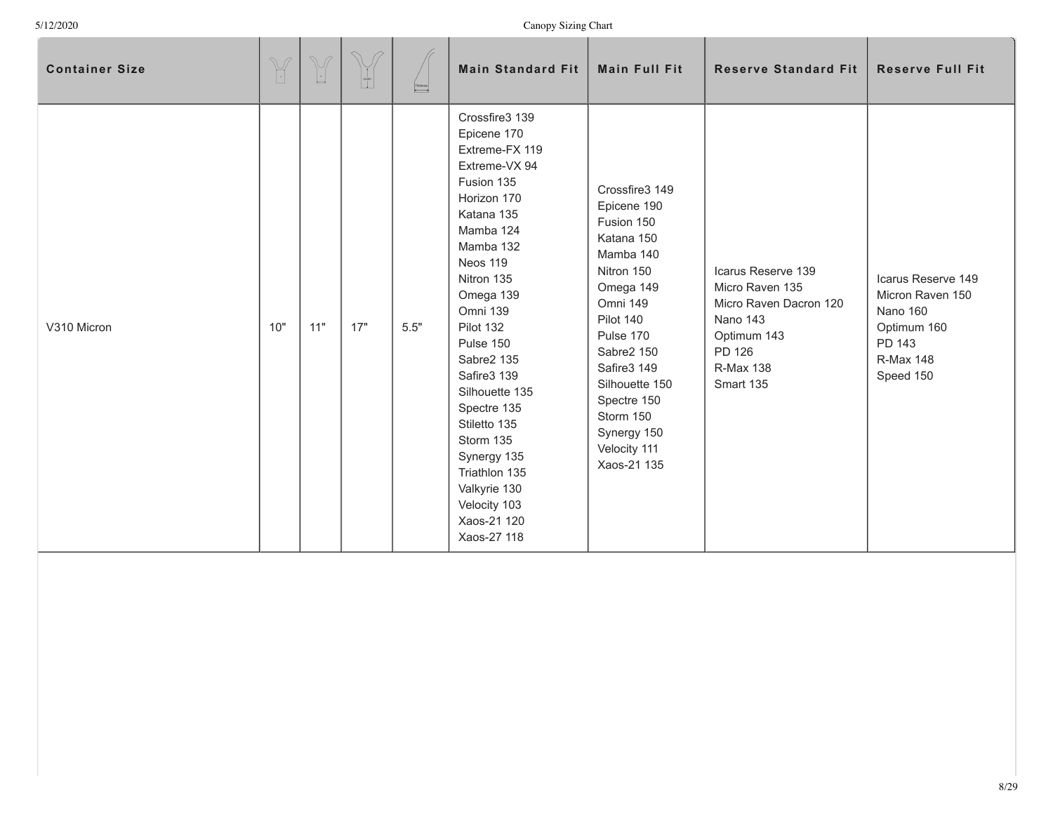**A** 

| <b>Container Size</b> | $\mathbb{Y}$ | $\begin{picture}(42,14) \put(0,0){\line(1,0){155}} \put(15,0){\line(1,0){155}} \put(15,0){\line(1,0){155}} \put(15,0){\line(1,0){155}} \put(15,0){\line(1,0){155}} \put(15,0){\line(1,0){155}} \put(15,0){\line(1,0){155}} \put(15,0){\line(1,0){155}} \put(15,0){\line(1,0){155}} \put(15,0){\line(1,0){155}} \put(15,0){\line(1,0){155}} \$ | $\bigcirc$<br>$\begin{bmatrix} 1 \\ -1 \\ 0 \end{bmatrix}$ | $\fbox{\parbox{5cm} \begin{picture}(18,15) \put(0,0){\dashbox{0.5}(16,0){ }} \put(15,0){\dashbox{0.5}(16,0){ }} \put(15,0){\dashbox{0.5}(16,0){ }} \put(15,0){\dashbox{0.5}(16,0){ }} \put(15,0){\dashbox{0.5}(16,0){ }} \put(15,0){\dashbox{0.5}(16,0){ }} \put(15,0){\dashbox{0.5}(16,0){ }} \put(15,0){\dashbox{0.5}(16,0){ }} \put(15,0){\dashbox{0.5}(16,0){ }} \put($ | <b>Main Standard Fit</b>                                                                                                                                                                                                                                                                                                                                                                                    | <b>Main Full Fit</b>                                                                                                                                                                                                                                             | <b>Reserve Standard Fit</b>                                                                                                                  | <b>Reserve Full Fit</b>                                                                                             |
|-----------------------|--------------|-----------------------------------------------------------------------------------------------------------------------------------------------------------------------------------------------------------------------------------------------------------------------------------------------------------------------------------------------|------------------------------------------------------------|-----------------------------------------------------------------------------------------------------------------------------------------------------------------------------------------------------------------------------------------------------------------------------------------------------------------------------------------------------------------------------|-------------------------------------------------------------------------------------------------------------------------------------------------------------------------------------------------------------------------------------------------------------------------------------------------------------------------------------------------------------------------------------------------------------|------------------------------------------------------------------------------------------------------------------------------------------------------------------------------------------------------------------------------------------------------------------|----------------------------------------------------------------------------------------------------------------------------------------------|---------------------------------------------------------------------------------------------------------------------|
| V310 Micron           | 10"          | 11"                                                                                                                                                                                                                                                                                                                                           | 17"                                                        | 5.5"                                                                                                                                                                                                                                                                                                                                                                        | Crossfire3 139<br>Epicene 170<br>Extreme-FX 119<br>Extreme-VX 94<br>Fusion 135<br>Horizon 170<br>Katana 135<br>Mamba 124<br>Mamba 132<br>Neos 119<br>Nitron 135<br>Omega 139<br>Omni 139<br>Pilot 132<br>Pulse 150<br>Sabre2 135<br>Safire3 139<br>Silhouette 135<br>Spectre 135<br>Stiletto 135<br>Storm 135<br>Synergy 135<br>Triathlon 135<br>Valkyrie 130<br>Velocity 103<br>Xaos-21 120<br>Xaos-27 118 | Crossfire3 149<br>Epicene 190<br>Fusion 150<br>Katana 150<br>Mamba 140<br>Nitron 150<br>Omega 149<br>Omni 149<br>Pilot 140<br>Pulse 170<br>Sabre2 150<br>Safire3 149<br>Silhouette 150<br>Spectre 150<br>Storm 150<br>Synergy 150<br>Velocity 111<br>Xaos-21 135 | Icarus Reserve 139<br>Micro Raven 135<br>Micro Raven Dacron 120<br><b>Nano 143</b><br>Optimum 143<br>PD 126<br><b>R-Max 138</b><br>Smart 135 | Icarus Reserve 149<br>Micron Raven 150<br><b>Nano 160</b><br>Optimum 160<br>PD 143<br><b>R-Max 148</b><br>Speed 150 |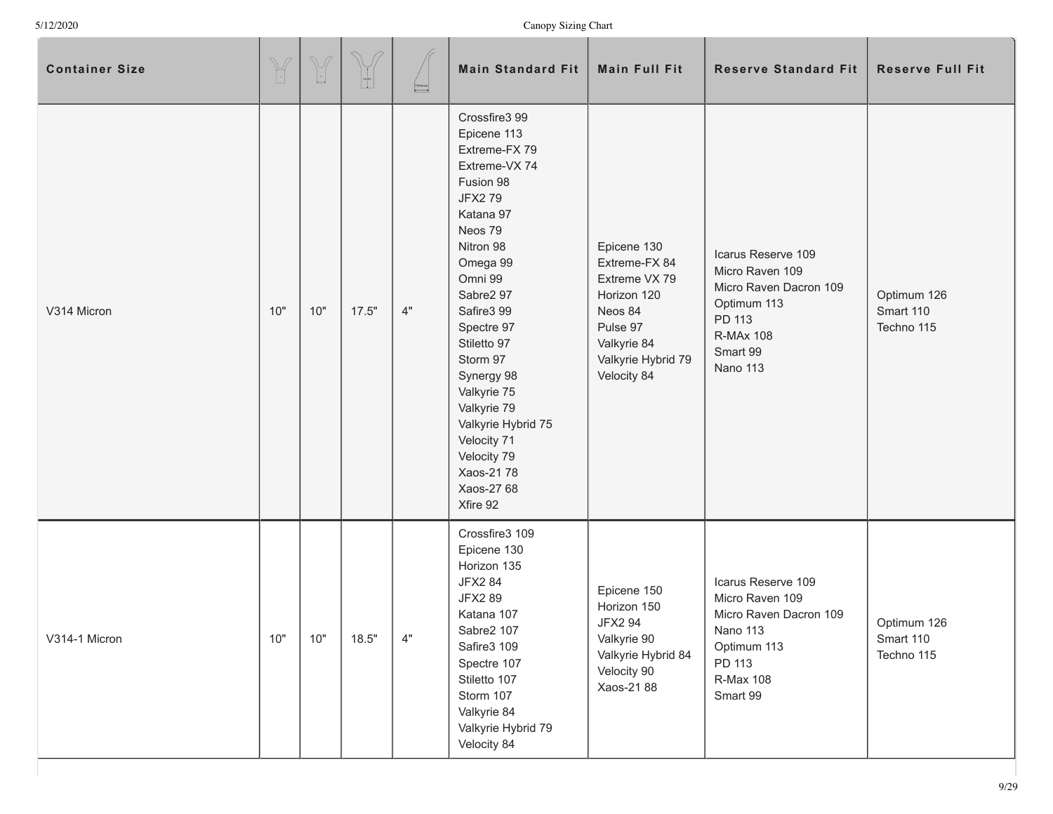| <b>Container Size</b> | $\begin{picture}(42,14) \put(0,0){\vector(0,1){10}} \put(15,0){\vector(0,1){10}} \put(15,0){\vector(0,1){10}} \put(15,0){\vector(0,1){10}} \put(15,0){\vector(0,1){10}} \put(15,0){\vector(0,1){10}} \put(15,0){\vector(0,1){10}} \put(15,0){\vector(0,1){10}} \put(15,0){\vector(0,1){10}} \put(15,0){\vector(0,1){10}} \put(15,0){\vector(0,1){10}} \put(15,0){\vector(0$ | $\begin{picture}(220,20) \put(0,0){\line(1,0){10}} \put(15,0){\line(1,0){10}} \put(15,0){\line(1,0){10}} \put(15,0){\line(1,0){10}} \put(15,0){\line(1,0){10}} \put(15,0){\line(1,0){10}} \put(15,0){\line(1,0){10}} \put(15,0){\line(1,0){10}} \put(15,0){\line(1,0){10}} \put(15,0){\line(1,0){10}} \put(15,0){\line(1,0){10}} \put(15,0){\line($ | $\begin{bmatrix} 1 \\ 1 \\ 1 \end{bmatrix}$ | $\begin{array}{c}\n\text{Theones}\n\\ \hline\n\end{array}$ | <b>Main Standard Fit</b>                                                                                                                                                                                                                                                                                                                                             | <b>Main Full Fit</b>                                                                                                                    | <b>Reserve Standard Fit</b>                                                                                                          | <b>Reserve Full Fit</b>                |
|-----------------------|-----------------------------------------------------------------------------------------------------------------------------------------------------------------------------------------------------------------------------------------------------------------------------------------------------------------------------------------------------------------------------|-----------------------------------------------------------------------------------------------------------------------------------------------------------------------------------------------------------------------------------------------------------------------------------------------------------------------------------------------------|---------------------------------------------|------------------------------------------------------------|----------------------------------------------------------------------------------------------------------------------------------------------------------------------------------------------------------------------------------------------------------------------------------------------------------------------------------------------------------------------|-----------------------------------------------------------------------------------------------------------------------------------------|--------------------------------------------------------------------------------------------------------------------------------------|----------------------------------------|
| V314 Micron           | 10"                                                                                                                                                                                                                                                                                                                                                                         | 10"                                                                                                                                                                                                                                                                                                                                                 | 17.5"                                       | $4"$                                                       | Crossfire3 99<br>Epicene 113<br>Extreme-FX 79<br>Extreme-VX 74<br>Fusion 98<br><b>JFX279</b><br>Katana 97<br>Neos 79<br>Nitron 98<br>Omega 99<br>Omni 99<br>Sabre2 97<br>Safire3 99<br>Spectre 97<br>Stiletto 97<br>Storm 97<br>Synergy 98<br>Valkyrie 75<br>Valkyrie 79<br>Valkyrie Hybrid 75<br>Velocity 71<br>Velocity 79<br>Xaos-21 78<br>Xaos-27 68<br>Xfire 92 | Epicene 130<br>Extreme-FX 84<br>Extreme VX 79<br>Horizon 120<br>Neos 84<br>Pulse 97<br>Valkyrie 84<br>Valkyrie Hybrid 79<br>Velocity 84 | Icarus Reserve 109<br>Micro Raven 109<br>Micro Raven Dacron 109<br>Optimum 113<br>PD 113<br><b>R-MAx 108</b><br>Smart 99<br>Nano 113 | Optimum 126<br>Smart 110<br>Techno 115 |
| V314-1 Micron         | 10"                                                                                                                                                                                                                                                                                                                                                                         | 10"                                                                                                                                                                                                                                                                                                                                                 | 18.5"                                       | 4"                                                         | Crossfire3 109<br>Epicene 130<br>Horizon 135<br><b>JFX2 84</b><br>JFX2 89<br>Katana 107<br>Sabre2 107<br>Safire3 109<br>Spectre 107<br>Stiletto 107<br>Storm 107<br>Valkyrie 84<br>Valkyrie Hybrid 79<br>Velocity 84                                                                                                                                                 | Epicene 150<br>Horizon 150<br><b>JFX2 94</b><br>Valkyrie 90<br>Valkyrie Hybrid 84<br>Velocity 90<br>Xaos-21 88                          | Icarus Reserve 109<br>Micro Raven 109<br>Micro Raven Dacron 109<br>Nano 113<br>Optimum 113<br>PD 113<br>R-Max 108<br>Smart 99        | Optimum 126<br>Smart 110<br>Techno 115 |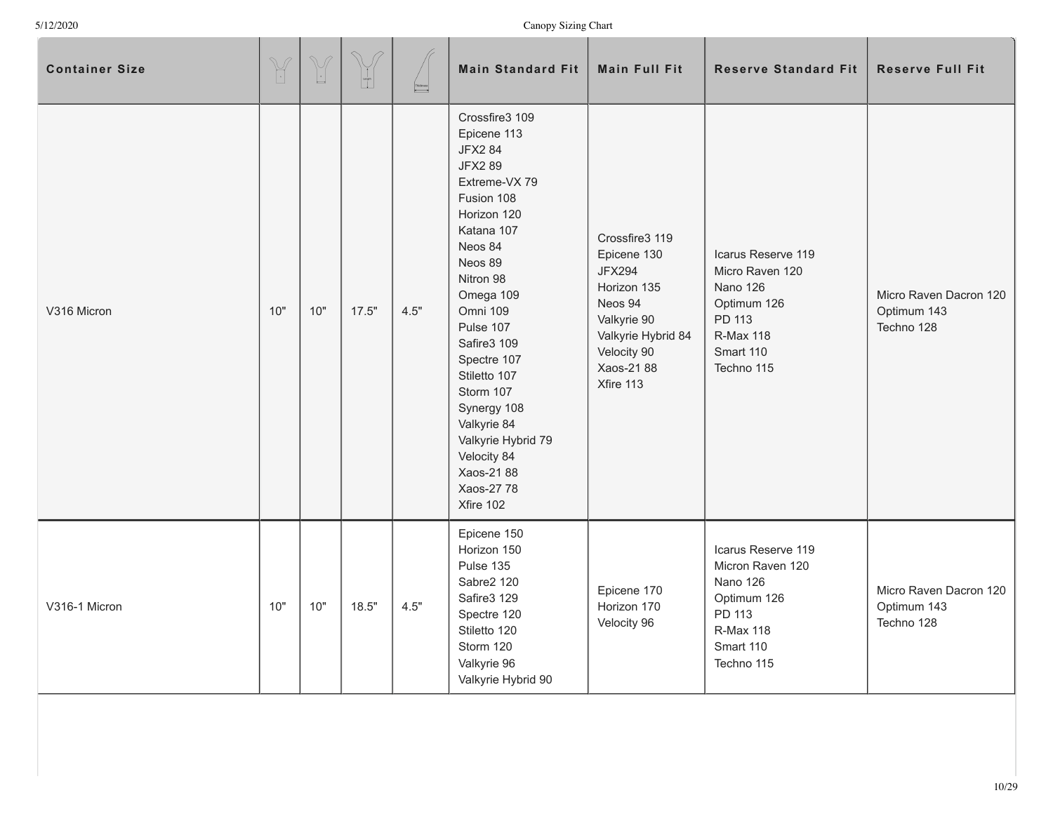| <b>Container Size</b> | $\begin{picture}(42,14) \put(0,0){\line(1,0){155}} \put(15,0){\line(1,0){155}} \put(15,0){\line(1,0){155}} \put(15,0){\line(1,0){155}} \put(15,0){\line(1,0){155}} \put(15,0){\line(1,0){155}} \put(15,0){\line(1,0){155}} \put(15,0){\line(1,0){155}} \put(15,0){\line(1,0){155}} \put(15,0){\line(1,0){155}} \put(15,0){\line(1,0){155}} \$ | $\begin{picture}(42,14) \put(0,0){\line(1,0){155}} \put(15,0){\line(1,0){155}} \put(15,0){\line(1,0){155}} \put(15,0){\line(1,0){155}} \put(15,0){\line(1,0){155}} \put(15,0){\line(1,0){155}} \put(15,0){\line(1,0){155}} \put(15,0){\line(1,0){155}} \put(15,0){\line(1,0){155}} \put(15,0){\line(1,0){155}} \put(15,0){\line(1,0){155}} \$ | $\begin{bmatrix} 1 \\ -1 \\ 0 \\ 0 \end{bmatrix}$ | $\begin{array}{ c c }\hline \textbf{Pidones} \\\hline \end{array}$ | <b>Main Standard Fit</b>                                                                                                                                                                                                                                                                                                                                                    | <b>Main Full Fit</b>                                                                                                                                    | <b>Reserve Standard Fit</b>                                                                                                       | <b>Reserve Full Fit</b>                             |
|-----------------------|-----------------------------------------------------------------------------------------------------------------------------------------------------------------------------------------------------------------------------------------------------------------------------------------------------------------------------------------------|-----------------------------------------------------------------------------------------------------------------------------------------------------------------------------------------------------------------------------------------------------------------------------------------------------------------------------------------------|---------------------------------------------------|--------------------------------------------------------------------|-----------------------------------------------------------------------------------------------------------------------------------------------------------------------------------------------------------------------------------------------------------------------------------------------------------------------------------------------------------------------------|---------------------------------------------------------------------------------------------------------------------------------------------------------|-----------------------------------------------------------------------------------------------------------------------------------|-----------------------------------------------------|
| V316 Micron           | 10"                                                                                                                                                                                                                                                                                                                                           | 10"                                                                                                                                                                                                                                                                                                                                           | 17.5"                                             | 4.5"                                                               | Crossfire3 109<br>Epicene 113<br><b>JFX2 84</b><br><b>JFX289</b><br>Extreme-VX 79<br>Fusion 108<br>Horizon 120<br>Katana 107<br>Neos 84<br>Neos 89<br>Nitron 98<br>Omega 109<br>Omni 109<br>Pulse 107<br>Safire3 109<br>Spectre 107<br>Stiletto 107<br>Storm 107<br>Synergy 108<br>Valkyrie 84<br>Valkyrie Hybrid 79<br>Velocity 84<br>Xaos-2188<br>Xaos-27 78<br>Xfire 102 | Crossfire3 119<br>Epicene 130<br><b>JFX294</b><br>Horizon 135<br>Neos 94<br>Valkyrie 90<br>Valkyrie Hybrid 84<br>Velocity 90<br>Xaos-21 88<br>Xfire 113 | Icarus Reserve 119<br>Micro Raven 120<br><b>Nano 126</b><br>Optimum 126<br>PD 113<br><b>R-Max 118</b><br>Smart 110<br>Techno 115  | Micro Raven Dacron 120<br>Optimum 143<br>Techno 128 |
| V316-1 Micron         | 10"                                                                                                                                                                                                                                                                                                                                           | 10"                                                                                                                                                                                                                                                                                                                                           | 18.5"                                             | 4.5"                                                               | Epicene 150<br>Horizon 150<br>Pulse 135<br>Sabre2 120<br>Safire3 129<br>Spectre 120<br>Stiletto 120<br>Storm 120<br>Valkyrie 96<br>Valkyrie Hybrid 90                                                                                                                                                                                                                       | Epicene 170<br>Horizon 170<br>Velocity 96                                                                                                               | Icarus Reserve 119<br>Micron Raven 120<br><b>Nano 126</b><br>Optimum 126<br>PD 113<br><b>R-Max 118</b><br>Smart 110<br>Techno 115 | Micro Raven Dacron 120<br>Optimum 143<br>Techno 128 |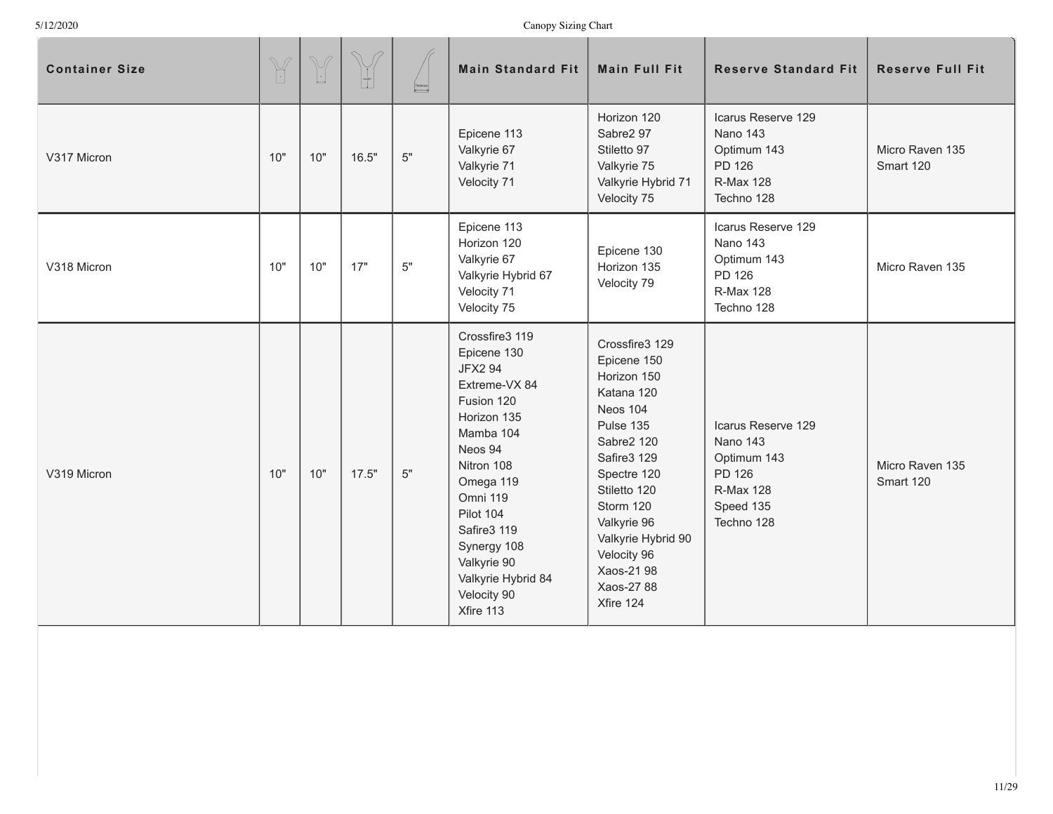| <b>Container Size</b> | $\begin{picture}(42,14) \put(0,0){\vector(0,1){10}} \put(15,0){\vector(0,1){10}} \put(15,0){\vector(0,1){10}} \put(15,0){\vector(0,1){10}} \put(15,0){\vector(0,1){10}} \put(15,0){\vector(0,1){10}} \put(15,0){\vector(0,1){10}} \put(15,0){\vector(0,1){10}} \put(15,0){\vector(0,1){10}} \put(15,0){\vector(0,1){10}} \put(15,0){\vector(0,1){10}} \put(15,0){\vector(0$ | $\begin{picture}(220,20) \put(0,0){\line(1,0){155}} \put(15,0){\line(1,0){155}} \put(15,0){\line(1,0){155}} \put(15,0){\line(1,0){155}} \put(15,0){\line(1,0){155}} \put(15,0){\line(1,0){155}} \put(15,0){\line(1,0){155}} \put(15,0){\line(1,0){155}} \put(15,0){\line(1,0){155}} \put(15,0){\line(1,0){155}} \put(15,0){\line(1,0){155}}$ | $\mathcal{D}$ | $\begin{array}{ c c }\hline \textbf{Pidones} \\\hline \end{array}$ | <b>Main Standard Fit</b>                                                                                                                                                                                                                                                 | <b>Main Full Fit</b>                                                                                                                                                                                                                                             | <b>Reserve Standard Fit</b>                                                                            | <b>Reserve Full Fit</b>      |
|-----------------------|-----------------------------------------------------------------------------------------------------------------------------------------------------------------------------------------------------------------------------------------------------------------------------------------------------------------------------------------------------------------------------|----------------------------------------------------------------------------------------------------------------------------------------------------------------------------------------------------------------------------------------------------------------------------------------------------------------------------------------------|---------------|--------------------------------------------------------------------|--------------------------------------------------------------------------------------------------------------------------------------------------------------------------------------------------------------------------------------------------------------------------|------------------------------------------------------------------------------------------------------------------------------------------------------------------------------------------------------------------------------------------------------------------|--------------------------------------------------------------------------------------------------------|------------------------------|
| V317 Micron           | 10"                                                                                                                                                                                                                                                                                                                                                                         | 10"                                                                                                                                                                                                                                                                                                                                          | 16.5"         | $5"$                                                               | Epicene 113<br>Valkyrie 67<br>Valkyrie 71<br>Velocity 71                                                                                                                                                                                                                 | Horizon 120<br>Sabre2 97<br>Stiletto 97<br>Valkyrie 75<br>Valkyrie Hybrid 71<br>Velocity 75                                                                                                                                                                      | Icarus Reserve 129<br>Nano 143<br>Optimum 143<br>PD 126<br><b>R-Max 128</b><br>Techno 128              | Micro Raven 135<br>Smart 120 |
| V318 Micron           | 10"                                                                                                                                                                                                                                                                                                                                                                         | 10"                                                                                                                                                                                                                                                                                                                                          | 17"           | 5"                                                                 | Epicene 113<br>Horizon 120<br>Valkyrie 67<br>Valkyrie Hybrid 67<br>Velocity 71<br>Velocity 75                                                                                                                                                                            | Epicene 130<br>Horizon 135<br>Velocity 79                                                                                                                                                                                                                        | Icarus Reserve 129<br>Nano 143<br>Optimum 143<br>PD 126<br><b>R-Max 128</b><br>Techno 128              | Micro Raven 135              |
| V319 Micron           | 10"                                                                                                                                                                                                                                                                                                                                                                         | 10"                                                                                                                                                                                                                                                                                                                                          | 17.5"         | 5"                                                                 | Crossfire3 119<br>Epicene 130<br><b>JFX2 94</b><br>Extreme-VX 84<br>Fusion 120<br>Horizon 135<br>Mamba 104<br>Neos 94<br>Nitron 108<br>Omega 119<br>Omni 119<br>Pilot 104<br>Safire3 119<br>Synergy 108<br>Valkyrie 90<br>Valkyrie Hybrid 84<br>Velocity 90<br>Xfire 113 | Crossfire3 129<br>Epicene 150<br>Horizon 150<br>Katana 120<br><b>Neos 104</b><br>Pulse 135<br>Sabre2 120<br>Safire3 129<br>Spectre 120<br>Stiletto 120<br>Storm 120<br>Valkyrie 96<br>Valkyrie Hybrid 90<br>Velocity 96<br>Xaos-21 98<br>Xaos-27 88<br>Xfire 124 | Icarus Reserve 129<br>Nano 143<br>Optimum 143<br>PD 126<br><b>R-Max 128</b><br>Speed 135<br>Techno 128 | Micro Raven 135<br>Smart 120 |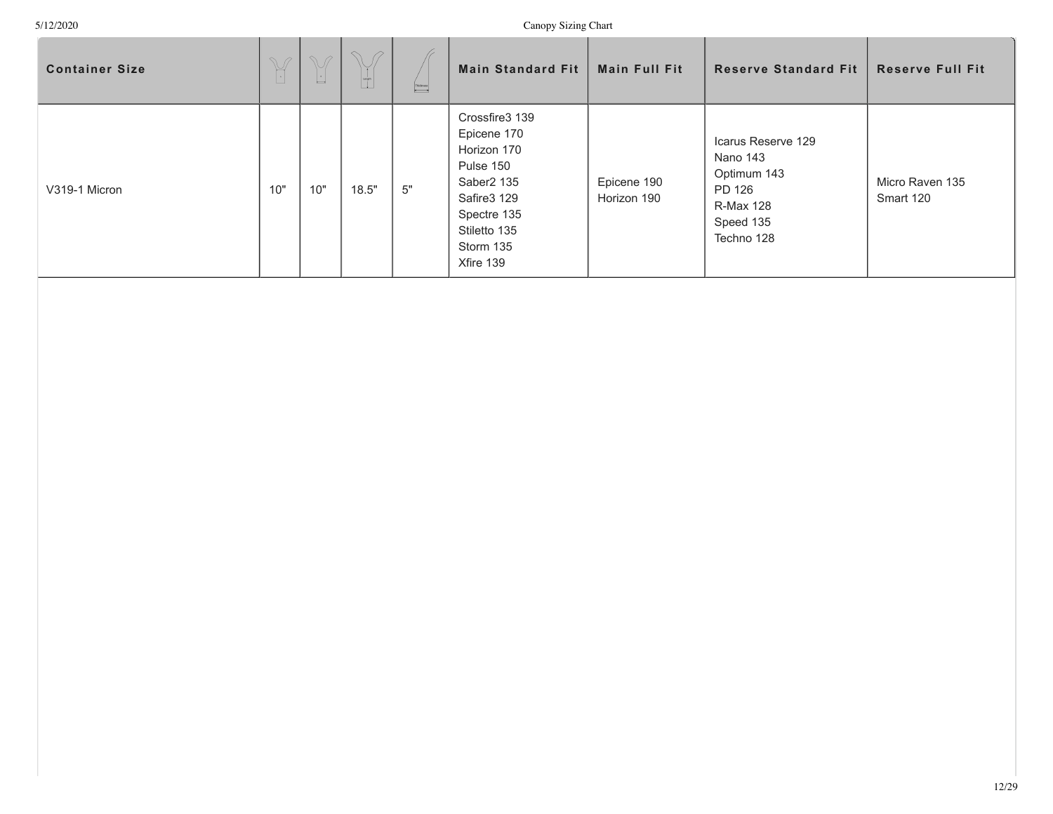| <b>Container Size</b> | $\begin{picture}(420,40) \put(0,0){\vector(0,1){10}} \put(15,0){\vector(0,1){10}} \put(15,0){\vector(0,1){10}} \put(15,0){\vector(0,1){10}} \put(15,0){\vector(0,1){10}} \put(15,0){\vector(0,1){10}} \put(15,0){\vector(0,1){10}} \put(15,0){\vector(0,1){10}} \put(15,0){\vector(0,1){10}} \put(15,0){\vector(0,1){10}} \put(15,0){\vector(0,1){10}} \put(15,0){\vector($ | $\mathbb{V}$<br>L. | $\bigcap$ $\bigcap$<br>$\begin{bmatrix} 1 \\ 1 \\ 0 \\ 0 \end{bmatrix}$ | $\fbox{\parbox{0.5cm} {\begin{picture}(18,15) \put(0,0){\dashbox{0.5}(16,0){ }} \put(15,0){\dashbox{0.5}(16,0){ }} \thicklines \put(15,0){\dashbox{0.5}(16,0){ }} \thicklines \put(15,0){\circle{10}} \put(15,0){\circle{10}} \put(15,0){\circle{10}} \put(15,0){\circle{10}} \put(15,0){\circle{10}} \put(15,0){\circle{10}} \put(15,0){\circle{10}} \put(15,0){\circle{10}} \put(15,0){\circle{10$ | <b>Main Standard Fit</b>                                                                                                                                    | <b>Main Full Fit</b>       | <b>Reserve Standard Fit</b>                                                                            | <b>Reserve Full Fit</b>      |
|-----------------------|-----------------------------------------------------------------------------------------------------------------------------------------------------------------------------------------------------------------------------------------------------------------------------------------------------------------------------------------------------------------------------|--------------------|-------------------------------------------------------------------------|------------------------------------------------------------------------------------------------------------------------------------------------------------------------------------------------------------------------------------------------------------------------------------------------------------------------------------------------------------------------------------------------------|-------------------------------------------------------------------------------------------------------------------------------------------------------------|----------------------------|--------------------------------------------------------------------------------------------------------|------------------------------|
| V319-1 Micron         | 10"                                                                                                                                                                                                                                                                                                                                                                         | 10"                | 18.5"                                                                   | 5"                                                                                                                                                                                                                                                                                                                                                                                                   | Crossfire3 139<br>Epicene 170<br>Horizon 170<br>Pulse 150<br>Saber <sub>2</sub> 135<br>Safire3 129<br>Spectre 135<br>Stiletto 135<br>Storm 135<br>Xfire 139 | Epicene 190<br>Horizon 190 | Icarus Reserve 129<br>Nano 143<br>Optimum 143<br>PD 126<br><b>R-Max 128</b><br>Speed 135<br>Techno 128 | Micro Raven 135<br>Smart 120 |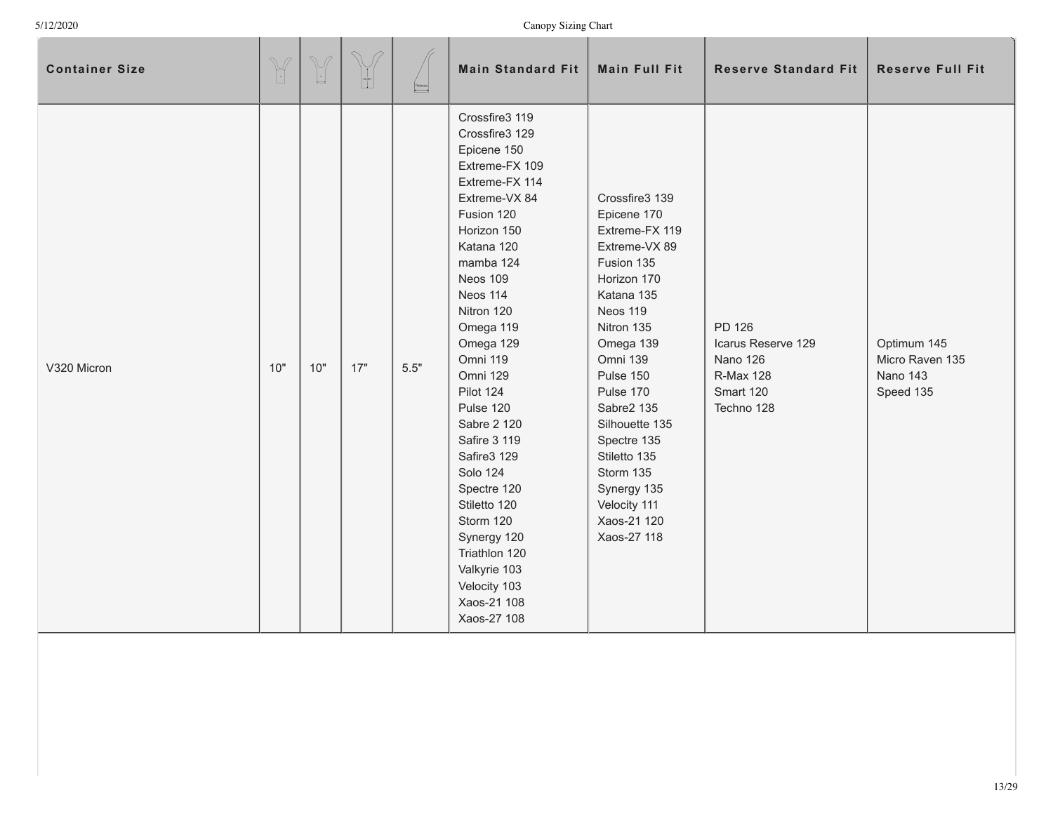| <b>Container Size</b> | $\begin{picture}(42,14) \put(0,0){\vector(0,1){10}} \put(15,0){\vector(0,1){10}} \put(15,0){\vector(0,1){10}} \put(15,0){\vector(0,1){10}} \put(15,0){\vector(0,1){10}} \put(15,0){\vector(0,1){10}} \put(15,0){\vector(0,1){10}} \put(15,0){\vector(0,1){10}} \put(15,0){\vector(0,1){10}} \put(15,0){\vector(0,1){10}} \put(15,0){\vector(0,1){10}} \put(15,0){\vector(0$ | $\mathbb{V}$<br>$\lfloor \cdot \rfloor$ | $\curvearrowright$<br>$\frac{1}{2}$ | Thidosess<br><b>A</b> | <b>Main Standard Fit</b>                                                                                                                                                                                                                                                                                                                                                                                                                                                                  | <b>Main Full Fit</b>                                                                                                                                                                                                                                                                                                              | <b>Reserve Standard Fit</b>                                                             | <b>Reserve Full Fit</b>                                 |
|-----------------------|-----------------------------------------------------------------------------------------------------------------------------------------------------------------------------------------------------------------------------------------------------------------------------------------------------------------------------------------------------------------------------|-----------------------------------------|-------------------------------------|-----------------------|-------------------------------------------------------------------------------------------------------------------------------------------------------------------------------------------------------------------------------------------------------------------------------------------------------------------------------------------------------------------------------------------------------------------------------------------------------------------------------------------|-----------------------------------------------------------------------------------------------------------------------------------------------------------------------------------------------------------------------------------------------------------------------------------------------------------------------------------|-----------------------------------------------------------------------------------------|---------------------------------------------------------|
| V320 Micron           | 10"                                                                                                                                                                                                                                                                                                                                                                         | 10"                                     | 17"                                 | 5.5"                  | Crossfire3 119<br>Crossfire3 129<br>Epicene 150<br>Extreme-FX 109<br>Extreme-FX 114<br>Extreme-VX 84<br>Fusion 120<br>Horizon 150<br>Katana 120<br>mamba 124<br>Neos 109<br>Neos 114<br>Nitron 120<br>Omega 119<br>Omega 129<br>Omni 119<br>Omni 129<br>Pilot 124<br>Pulse 120<br>Sabre 2 120<br>Safire 3 119<br>Safire3 129<br><b>Solo 124</b><br>Spectre 120<br>Stiletto 120<br>Storm 120<br>Synergy 120<br>Triathlon 120<br>Valkyrie 103<br>Velocity 103<br>Xaos-21 108<br>Xaos-27 108 | Crossfire3 139<br>Epicene 170<br>Extreme-FX 119<br>Extreme-VX 89<br>Fusion 135<br>Horizon 170<br>Katana 135<br>Neos 119<br>Nitron 135<br>Omega 139<br>Omni 139<br>Pulse 150<br>Pulse 170<br>Sabre2 135<br>Silhouette 135<br>Spectre 135<br>Stiletto 135<br>Storm 135<br>Synergy 135<br>Velocity 111<br>Xaos-21 120<br>Xaos-27 118 | PD 126<br>Icarus Reserve 129<br>Nano 126<br><b>R-Max 128</b><br>Smart 120<br>Techno 128 | Optimum 145<br>Micro Raven 135<br>Nano 143<br>Speed 135 |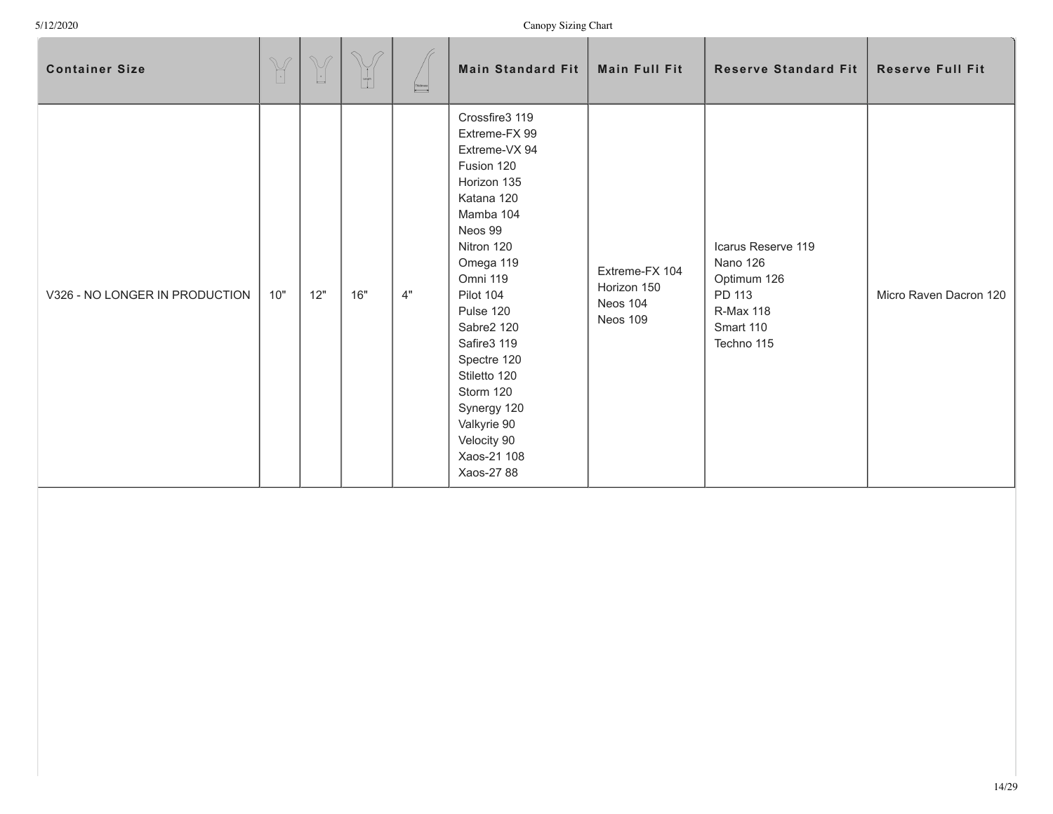| <b>Container Size</b>          | $\begin{picture}(42,14) \put(0,0){\vector(0,1){10}} \put(15,0){\vector(0,1){10}} \put(15,0){\vector(0,1){10}} \put(15,0){\vector(0,1){10}} \put(15,0){\vector(0,1){10}} \put(15,0){\vector(0,1){10}} \put(15,0){\vector(0,1){10}} \put(15,0){\vector(0,1){10}} \put(15,0){\vector(0,1){10}} \put(15,0){\vector(0,1){10}} \put(15,0){\vector(0,1){10}} \put(15,0){\vector(0$ | $\mathbb{V}$<br>$\overline{\phantom{a}}$ | A.<br>$\begin{array}{c c} \phantom{\Big }\text{length} \phantom{\Big } \end{array}$ | Thidosess | <b>Main Standard Fit</b>                                                                                                                                                                                                                                                                                                                | <b>Main Full Fit</b>                                  | <b>Reserve Standard Fit</b>                                                                            | <b>Reserve Full Fit</b> |
|--------------------------------|-----------------------------------------------------------------------------------------------------------------------------------------------------------------------------------------------------------------------------------------------------------------------------------------------------------------------------------------------------------------------------|------------------------------------------|-------------------------------------------------------------------------------------|-----------|-----------------------------------------------------------------------------------------------------------------------------------------------------------------------------------------------------------------------------------------------------------------------------------------------------------------------------------------|-------------------------------------------------------|--------------------------------------------------------------------------------------------------------|-------------------------|
| V326 - NO LONGER IN PRODUCTION | 10"                                                                                                                                                                                                                                                                                                                                                                         | 12"                                      | 16"                                                                                 | $4"$      | Crossfire3 119<br>Extreme-FX 99<br>Extreme-VX 94<br>Fusion 120<br>Horizon 135<br>Katana 120<br>Mamba 104<br>Neos 99<br>Nitron 120<br>Omega 119<br>Omni 119<br>Pilot 104<br>Pulse 120<br>Sabre2 120<br>Safire3 119<br>Spectre 120<br>Stiletto 120<br>Storm 120<br>Synergy 120<br>Valkyrie 90<br>Velocity 90<br>Xaos-21 108<br>Xaos-27 88 | Extreme-FX 104<br>Horizon 150<br>Neos 104<br>Neos 109 | Icarus Reserve 119<br>Nano 126<br>Optimum 126<br>PD 113<br><b>R-Max 118</b><br>Smart 110<br>Techno 115 | Micro Raven Dacron 120  |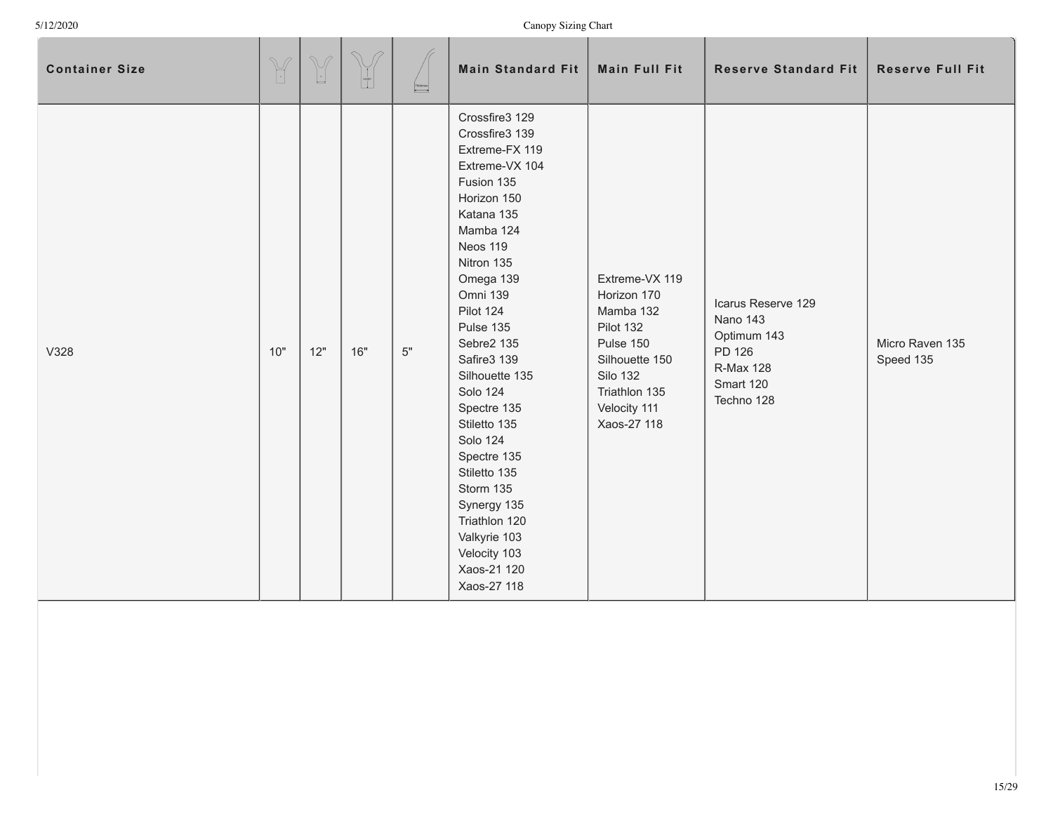| <b>Container Size</b> | $\mathbb{Y}$ | $\begin{picture}(42,14) \put(0,0){\line(1,0){155}} \put(15,0){\line(1,0){155}} \put(15,0){\line(1,0){155}} \put(15,0){\line(1,0){155}} \put(15,0){\line(1,0){155}} \put(15,0){\line(1,0){155}} \put(15,0){\line(1,0){155}} \put(15,0){\line(1,0){155}} \put(15,0){\line(1,0){155}} \put(15,0){\line(1,0){155}} \put(15,0){\line(1,0){155}} \$ | $\mathcal{D}$<br>$\begin{bmatrix} 1 \\ 1 \\ 0 \end{bmatrix}$ | $\begin{picture}(180,10) \put(0,0){\line(1,0){10}} \put(10,0){\line(1,0){10}} \put(10,0){\line(1,0){10}} \put(10,0){\line(1,0){10}} \put(10,0){\line(1,0){10}} \put(10,0){\line(1,0){10}} \put(10,0){\line(1,0){10}} \put(10,0){\line(1,0){10}} \put(10,0){\line(1,0){10}} \put(10,0){\line(1,0){10}} \put(10,0){\line(1,0){10}} \put(10,0){\line($ | Main Standard Fit                                                                                                                                                                                                                                                                                                                                                                                                                                                       | Main Full Fit                                                                                                                                             | <b>Reserve Standard Fit</b>                                                                            | <b>Reserve Full Fit</b>      |
|-----------------------|--------------|-----------------------------------------------------------------------------------------------------------------------------------------------------------------------------------------------------------------------------------------------------------------------------------------------------------------------------------------------|--------------------------------------------------------------|-----------------------------------------------------------------------------------------------------------------------------------------------------------------------------------------------------------------------------------------------------------------------------------------------------------------------------------------------------|-------------------------------------------------------------------------------------------------------------------------------------------------------------------------------------------------------------------------------------------------------------------------------------------------------------------------------------------------------------------------------------------------------------------------------------------------------------------------|-----------------------------------------------------------------------------------------------------------------------------------------------------------|--------------------------------------------------------------------------------------------------------|------------------------------|
| V328                  | 10"          | 12"                                                                                                                                                                                                                                                                                                                                           | 16"                                                          | 5"                                                                                                                                                                                                                                                                                                                                                  | Crossfire3 129<br>Crossfire3 139<br>Extreme-FX 119<br>Extreme-VX 104<br>Fusion 135<br>Horizon 150<br>Katana 135<br>Mamba 124<br>Neos 119<br>Nitron 135<br>Omega 139<br>Omni 139<br>Pilot 124<br>Pulse 135<br>Sebre2 135<br>Safire3 139<br>Silhouette 135<br><b>Solo 124</b><br>Spectre 135<br>Stiletto 135<br><b>Solo 124</b><br>Spectre 135<br>Stiletto 135<br>Storm 135<br>Synergy 135<br>Triathlon 120<br>Valkyrie 103<br>Velocity 103<br>Xaos-21 120<br>Xaos-27 118 | Extreme-VX 119<br>Horizon 170<br>Mamba 132<br>Pilot 132<br>Pulse 150<br>Silhouette 150<br><b>Silo 132</b><br>Triathlon 135<br>Velocity 111<br>Xaos-27 118 | Icarus Reserve 129<br>Nano 143<br>Optimum 143<br>PD 126<br><b>R-Max 128</b><br>Smart 120<br>Techno 128 | Micro Raven 135<br>Speed 135 |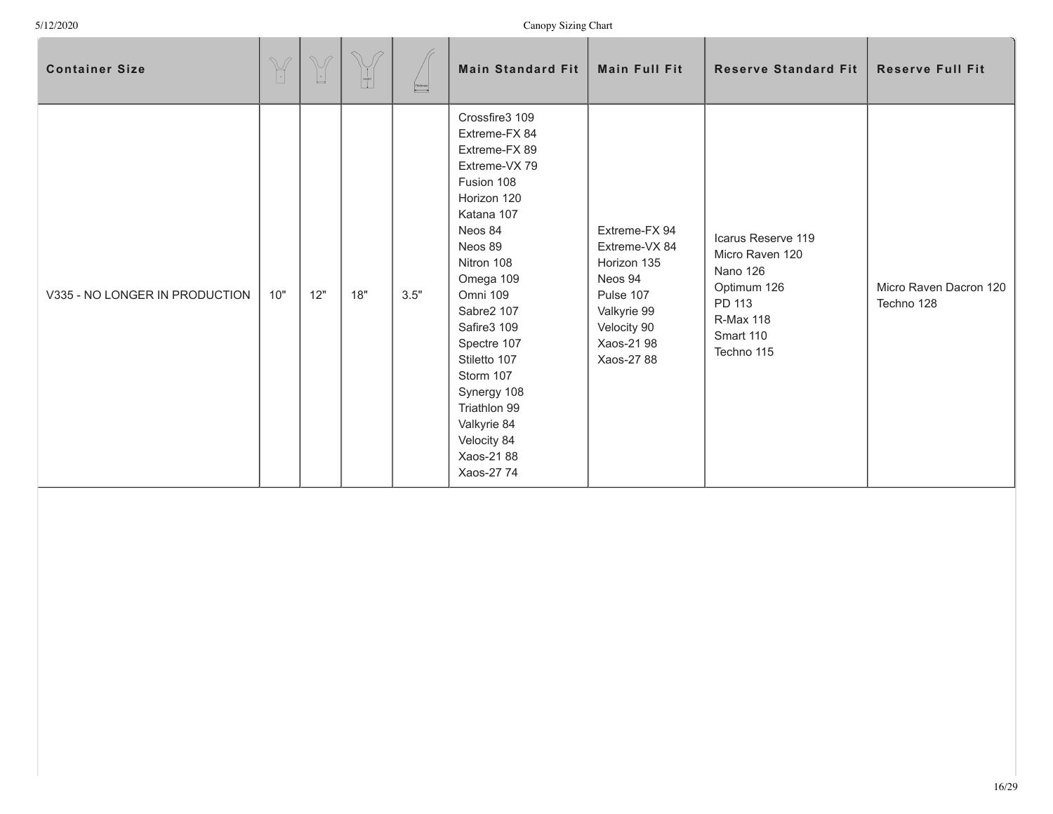| <b>Container Size</b>          | $\begin{picture}(42,14) \put(0,0){\vector(0,1){10}} \put(15,0){\vector(0,1){10}} \put(15,0){\vector(0,1){10}} \put(15,0){\vector(0,1){10}} \put(15,0){\vector(0,1){10}} \put(15,0){\vector(0,1){10}} \put(15,0){\vector(0,1){10}} \put(15,0){\vector(0,1){10}} \put(15,0){\vector(0,1){10}} \put(15,0){\vector(0,1){10}} \put(15,0){\vector(0,1){10}} \put(15,0){\vector(0$ | $\mathbb{V}$<br>$\boxed{\cdot}$ | $\begin{bmatrix} 1 \\ 1 \\ 1 \end{bmatrix}$ | $\overline{\phantom{0}}$ | <b>Main Standard Fit</b>                                                                                                                                                                                                                                                                                                                   | <b>Main Full Fit</b>                                                                                                            | <b>Reserve Standard Fit</b>                                                                                               | <b>Reserve Full Fit</b>              |
|--------------------------------|-----------------------------------------------------------------------------------------------------------------------------------------------------------------------------------------------------------------------------------------------------------------------------------------------------------------------------------------------------------------------------|---------------------------------|---------------------------------------------|--------------------------|--------------------------------------------------------------------------------------------------------------------------------------------------------------------------------------------------------------------------------------------------------------------------------------------------------------------------------------------|---------------------------------------------------------------------------------------------------------------------------------|---------------------------------------------------------------------------------------------------------------------------|--------------------------------------|
| V335 - NO LONGER IN PRODUCTION | 10"                                                                                                                                                                                                                                                                                                                                                                         | 12"                             | 18"                                         | 3.5"                     | Crossfire3 109<br>Extreme-FX 84<br>Extreme-FX 89<br>Extreme-VX 79<br>Fusion 108<br>Horizon 120<br>Katana 107<br>Neos 84<br>Neos 89<br>Nitron 108<br>Omega 109<br>Omni 109<br>Sabre2 107<br>Safire3 109<br>Spectre 107<br>Stiletto 107<br>Storm 107<br>Synergy 108<br>Triathlon 99<br>Valkyrie 84<br>Velocity 84<br>Xaos-2188<br>Xaos-27 74 | Extreme-FX 94<br>Extreme-VX 84<br>Horizon 135<br>Neos 94<br>Pulse 107<br>Valkyrie 99<br>Velocity 90<br>Xaos-21 98<br>Xaos-27 88 | Icarus Reserve 119<br>Micro Raven 120<br>Nano 126<br>Optimum 126<br>PD 113<br><b>R-Max 118</b><br>Smart 110<br>Techno 115 | Micro Raven Dacron 120<br>Techno 128 |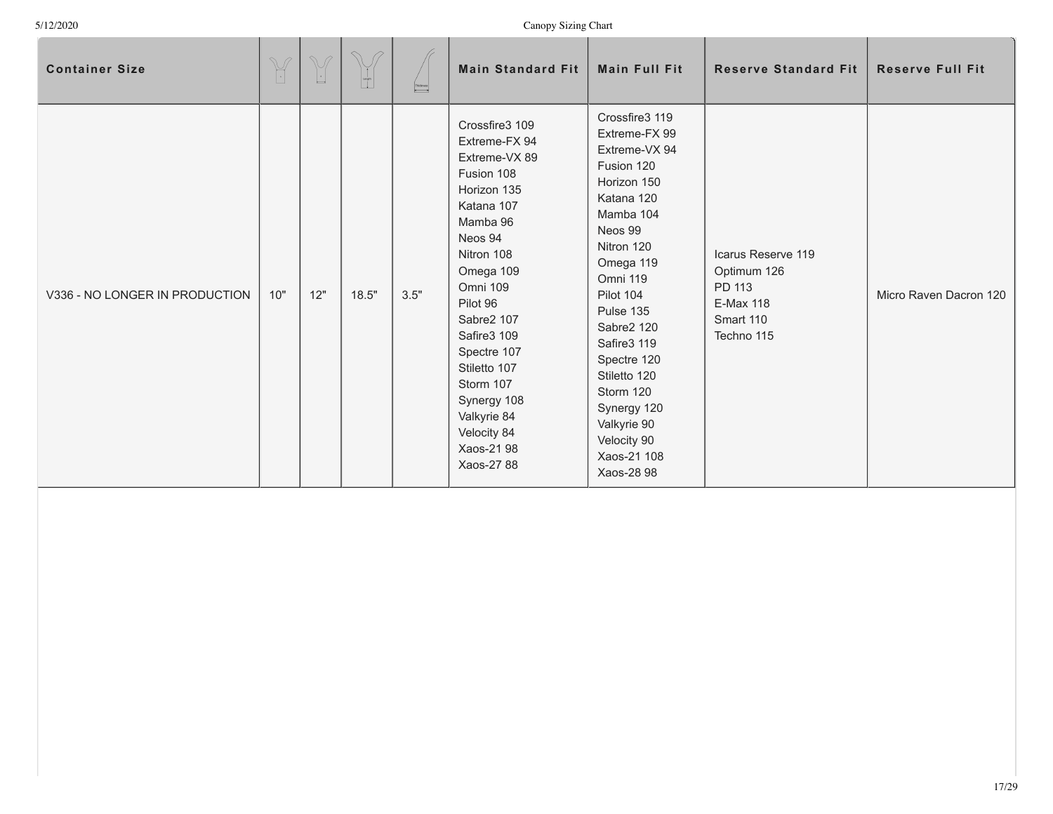| <b>Container Size</b>          | $\begin{picture}(420,40) \put(0,0){\vector(0,1){10}} \put(15,0){\vector(0,1){10}} \put(15,0){\vector(0,1){10}} \put(15,0){\vector(0,1){10}} \put(15,0){\vector(0,1){10}} \put(15,0){\vector(0,1){10}} \put(15,0){\vector(0,1){10}} \put(15,0){\vector(0,1){10}} \put(15,0){\vector(0,1){10}} \put(15,0){\vector(0,1){10}} \put(15,0){\vector(0,1){10}} \put(15,0){\vector($ | $\begin{picture}(220,20) \put(0,0){\line(1,0){10}} \put(15,0){\line(1,0){10}} \put(15,0){\line(1,0){10}} \put(15,0){\line(1,0){10}} \put(15,0){\line(1,0){10}} \put(15,0){\line(1,0){10}} \put(15,0){\line(1,0){10}} \put(15,0){\line(1,0){10}} \put(15,0){\line(1,0){10}} \put(15,0){\line(1,0){10}} \put(15,0){\line(1,0){10}} \put(15,0){\line($ | $\sqrt{2}$<br>$\begin{tabular}{ c c } \hline \quad \quad & \quad \quad & \quad \quad \\ \hline \quad \quad & \quad \quad & \quad \quad \\ \hline \quad \quad & \quad \quad & \quad \quad \\ \hline \quad \quad & \quad \quad & \quad \quad \\ \hline \end{tabular}$ | Thidosess | <b>Main Standard Fit</b>                                                                                                                                                                                                                                                                                                       | <b>Main Full Fit</b>                                                                                                                                                                                                                                                                                                                    | <b>Reserve Standard Fit</b>                                                                | <b>Reserve Full Fit</b> |
|--------------------------------|-----------------------------------------------------------------------------------------------------------------------------------------------------------------------------------------------------------------------------------------------------------------------------------------------------------------------------------------------------------------------------|-----------------------------------------------------------------------------------------------------------------------------------------------------------------------------------------------------------------------------------------------------------------------------------------------------------------------------------------------------|---------------------------------------------------------------------------------------------------------------------------------------------------------------------------------------------------------------------------------------------------------------------|-----------|--------------------------------------------------------------------------------------------------------------------------------------------------------------------------------------------------------------------------------------------------------------------------------------------------------------------------------|-----------------------------------------------------------------------------------------------------------------------------------------------------------------------------------------------------------------------------------------------------------------------------------------------------------------------------------------|--------------------------------------------------------------------------------------------|-------------------------|
| V336 - NO LONGER IN PRODUCTION | 10"                                                                                                                                                                                                                                                                                                                                                                         | 12"                                                                                                                                                                                                                                                                                                                                                 | 18.5"                                                                                                                                                                                                                                                               | 3.5"      | Crossfire3 109<br>Extreme-FX 94<br>Extreme-VX 89<br>Fusion 108<br>Horizon 135<br>Katana 107<br>Mamba 96<br>Neos 94<br>Nitron 108<br>Omega 109<br><b>Omni 109</b><br>Pilot 96<br>Sabre2 107<br>Safire3 109<br>Spectre 107<br>Stiletto 107<br>Storm 107<br>Synergy 108<br>Valkyrie 84<br>Velocity 84<br>Xaos-21 98<br>Xaos-27 88 | Crossfire3 119<br>Extreme-FX 99<br>Extreme-VX 94<br>Fusion 120<br>Horizon 150<br>Katana 120<br>Mamba 104<br>Neos 99<br>Nitron 120<br>Omega 119<br>Omni 119<br>Pilot 104<br>Pulse 135<br>Sabre2 120<br>Safire3 119<br>Spectre 120<br>Stiletto 120<br>Storm 120<br>Synergy 120<br>Valkyrie 90<br>Velocity 90<br>Xaos-21 108<br>Xaos-28 98 | Icarus Reserve 119<br>Optimum 126<br>PD 113<br><b>E-Max 118</b><br>Smart 110<br>Techno 115 | Micro Raven Dacron 120  |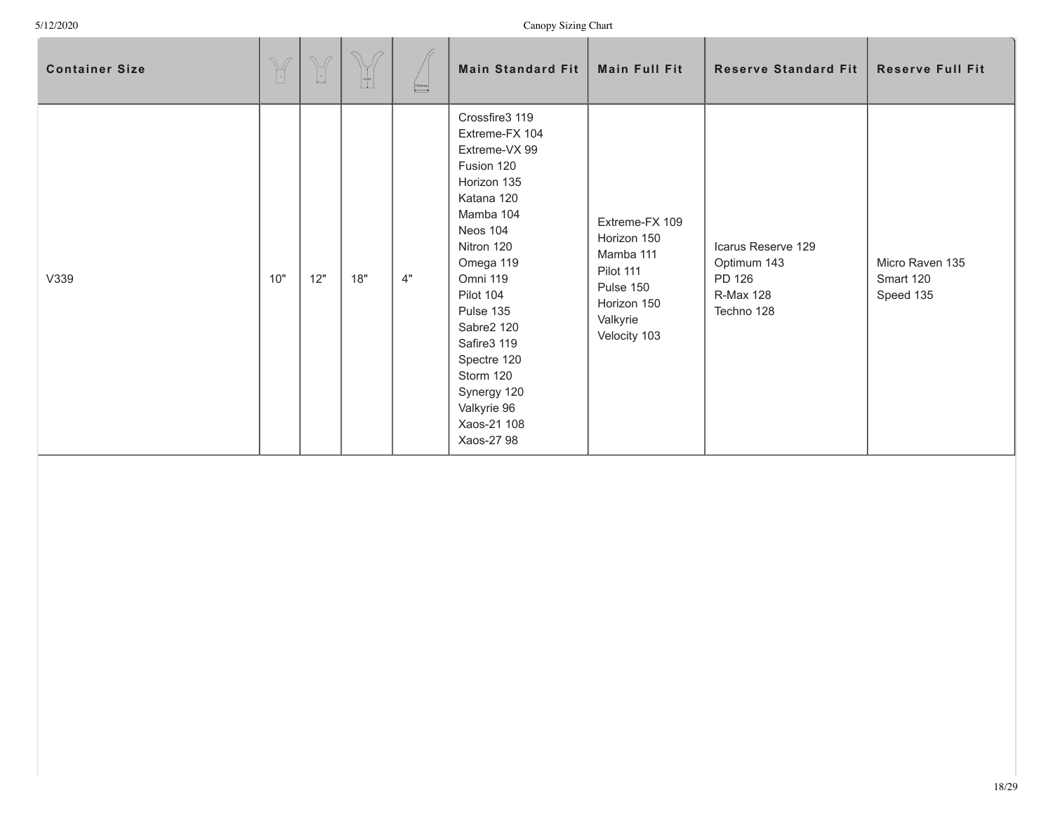| <b>Container Size</b> | $\begin{picture}(42,14) \put(0,0){\vector(0,1){10}} \put(15,0){\vector(0,1){10}} \put(15,0){\vector(0,1){10}} \put(15,0){\vector(0,1){10}} \put(15,0){\vector(0,1){10}} \put(15,0){\vector(0,1){10}} \put(15,0){\vector(0,1){10}} \put(15,0){\vector(0,1){10}} \put(15,0){\vector(0,1){10}} \put(15,0){\vector(0,1){10}} \put(15,0){\vector(0,1){10}} \put(15,0){\vector(0$ | $\mathbb{V}$<br>$\lfloor \cdot \rfloor$ | $\curvearrowright$<br>$\mathscr{G}$<br>$\begin{array}{c} \begin{array}{c} \begin{array}{c} \begin{array}{c} \end{array} \\ \begin{array}{c} \end{array} \\ \begin{array}{c} \end{array} \end{array} \end{array} \end{array}$ | $\fbox{\parbox{5pt} \begin{picture}(150,10) \put(0,0){\dashbox{0.5}(10,0){ }} \put(15,0){\dashbox{0.5}(10,0){ }} \put(15,0){\dashbox{0.5}(10,0){ }} \put(15,0){\dashbox{0.5}(10,0){ }} \put(15,0){\dashbox{0.5}(10,0){ }} \put(15,0){\dashbox{0.5}(10,0){ }} \put(15,0){\dashbox{0.5}(10,0){ }} \put(15,0){\dashbox{0.5}(10,0){ }} \put(15,0){\dashbox{0.5}(10,0){ }} \put$ | Main Standard Fit                                                                                                                                                                                                                                                                                                 | Main Full Fit                                                                                                   | <b>Reserve Standard Fit</b>                                                   | <b>Reserve Full Fit</b>                   |
|-----------------------|-----------------------------------------------------------------------------------------------------------------------------------------------------------------------------------------------------------------------------------------------------------------------------------------------------------------------------------------------------------------------------|-----------------------------------------|------------------------------------------------------------------------------------------------------------------------------------------------------------------------------------------------------------------------------|-----------------------------------------------------------------------------------------------------------------------------------------------------------------------------------------------------------------------------------------------------------------------------------------------------------------------------------------------------------------------------|-------------------------------------------------------------------------------------------------------------------------------------------------------------------------------------------------------------------------------------------------------------------------------------------------------------------|-----------------------------------------------------------------------------------------------------------------|-------------------------------------------------------------------------------|-------------------------------------------|
| V339                  | 10"                                                                                                                                                                                                                                                                                                                                                                         | 12"                                     | 18"                                                                                                                                                                                                                          | 4"                                                                                                                                                                                                                                                                                                                                                                          | Crossfire3 119<br>Extreme-FX 104<br>Extreme-VX 99<br>Fusion 120<br>Horizon 135<br>Katana 120<br>Mamba 104<br><b>Neos 104</b><br>Nitron 120<br>Omega 119<br>Omni 119<br>Pilot 104<br>Pulse 135<br>Sabre2 120<br>Safire3 119<br>Spectre 120<br>Storm 120<br>Synergy 120<br>Valkyrie 96<br>Xaos-21 108<br>Xaos-27 98 | Extreme-FX 109<br>Horizon 150<br>Mamba 111<br>Pilot 111<br>Pulse 150<br>Horizon 150<br>Valkyrie<br>Velocity 103 | Icarus Reserve 129<br>Optimum 143<br>PD 126<br><b>R-Max 128</b><br>Techno 128 | Micro Raven 135<br>Smart 120<br>Speed 135 |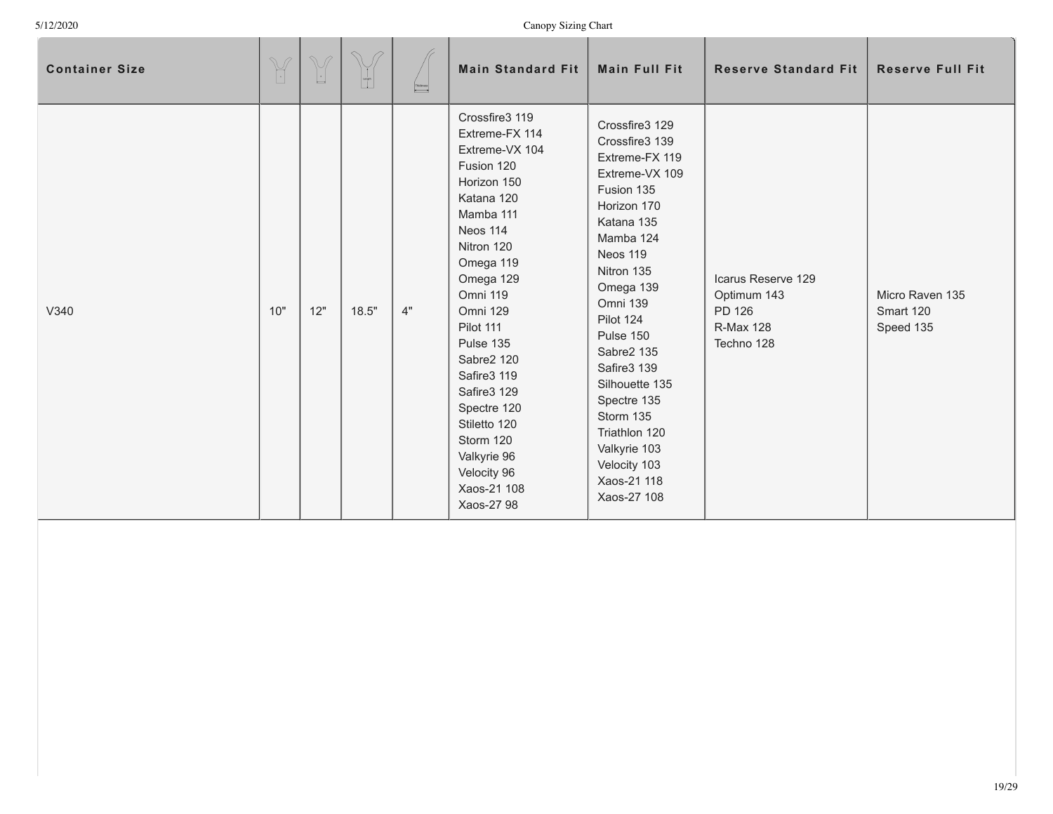| <b>Container Size</b> | $\begin{picture}(420,40) \put(0,0){\vector(0,1){10}} \put(15,0){\vector(0,1){10}} \put(15,0){\vector(0,1){10}} \put(15,0){\vector(0,1){10}} \put(15,0){\vector(0,1){10}} \put(15,0){\vector(0,1){10}} \put(15,0){\vector(0,1){10}} \put(15,0){\vector(0,1){10}} \put(15,0){\vector(0,1){10}} \put(15,0){\vector(0,1){10}} \put(15,0){\vector(0,1){10}} \put(15,0){\vector($ | M<br>$\lfloor \cdot \rfloor$ | $\mathcal{P}$ | Thidosess | <b>Main Standard Fit</b>                                                                                                                                                                                                                                                                                                                                            | <b>Main Full Fit</b>                                                                                                                                                                                                                                                                                                                                                | <b>Reserve Standard Fit</b>                                            | <b>Reserve Full Fit</b>                   |
|-----------------------|-----------------------------------------------------------------------------------------------------------------------------------------------------------------------------------------------------------------------------------------------------------------------------------------------------------------------------------------------------------------------------|------------------------------|---------------|-----------|---------------------------------------------------------------------------------------------------------------------------------------------------------------------------------------------------------------------------------------------------------------------------------------------------------------------------------------------------------------------|---------------------------------------------------------------------------------------------------------------------------------------------------------------------------------------------------------------------------------------------------------------------------------------------------------------------------------------------------------------------|------------------------------------------------------------------------|-------------------------------------------|
| V340                  | 10"                                                                                                                                                                                                                                                                                                                                                                         | 12"                          | 18.5"         | 4"        | Crossfire3 119<br>Extreme-FX 114<br>Extreme-VX 104<br>Fusion 120<br>Horizon 150<br>Katana 120<br>Mamba 111<br>Neos 114<br>Nitron 120<br>Omega 119<br>Omega 129<br>Omni 119<br>Omni 129<br>Pilot 111<br>Pulse 135<br>Sabre2 120<br>Safire3 119<br>Safire3 129<br>Spectre 120<br>Stiletto 120<br>Storm 120<br>Valkyrie 96<br>Velocity 96<br>Xaos-21 108<br>Xaos-27 98 | Crossfire3 129<br>Crossfire3 139<br>Extreme-FX 119<br>Extreme-VX 109<br>Fusion 135<br>Horizon 170<br>Katana 135<br>Mamba 124<br>Neos 119<br>Nitron 135<br>Omega 139<br>Omni 139<br>Pilot 124<br>Pulse 150<br>Sabre2 135<br>Safire3 139<br>Silhouette 135<br>Spectre 135<br>Storm 135<br>Triathlon 120<br>Valkyrie 103<br>Velocity 103<br>Xaos-21 118<br>Xaos-27 108 | Icarus Reserve 129<br>Optimum 143<br>PD 126<br>R-Max 128<br>Techno 128 | Micro Raven 135<br>Smart 120<br>Speed 135 |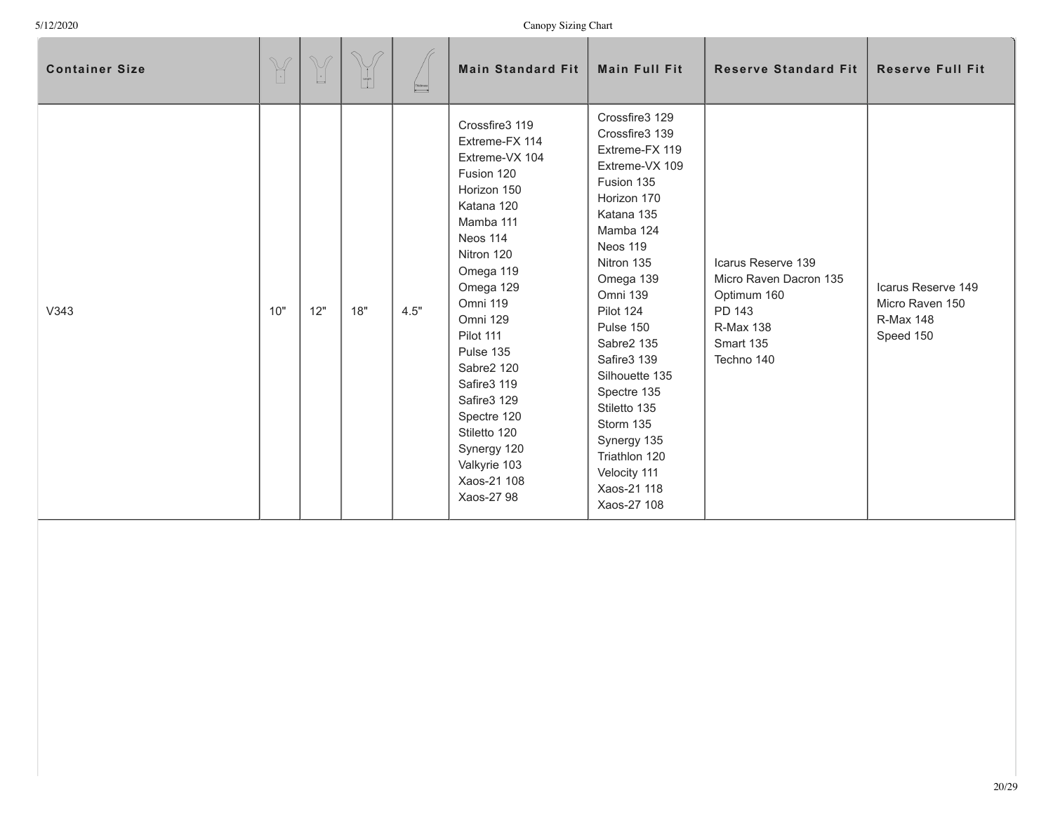| <b>Container Size</b> | $\begin{picture}(42,14) \put(0,0){\vector(0,1){10}} \put(15,0){\vector(0,1){10}} \put(15,0){\vector(0,1){10}} \put(15,0){\vector(0,1){10}} \put(15,0){\vector(0,1){10}} \put(15,0){\vector(0,1){10}} \put(15,0){\vector(0,1){10}} \put(15,0){\vector(0,1){10}} \put(15,0){\vector(0,1){10}} \put(15,0){\vector(0,1){10}} \put(15,0){\vector(0,1){10}} \put(15,0){\vector(0$ | M<br>$\lfloor \cdot \rfloor$ | $\sqrt{2}$<br>$\frac{1}{2}$ | Thidosess | <b>Main Standard Fit</b>                                                                                                                                                                                                                                                                                                                                       | <b>Main Full Fit</b>                                                                                                                                                                                                                                                                                                                                                                      | <b>Reserve Standard Fit</b>                                                                                          | <b>Reserve Full Fit</b>                                                |
|-----------------------|-----------------------------------------------------------------------------------------------------------------------------------------------------------------------------------------------------------------------------------------------------------------------------------------------------------------------------------------------------------------------------|------------------------------|-----------------------------|-----------|----------------------------------------------------------------------------------------------------------------------------------------------------------------------------------------------------------------------------------------------------------------------------------------------------------------------------------------------------------------|-------------------------------------------------------------------------------------------------------------------------------------------------------------------------------------------------------------------------------------------------------------------------------------------------------------------------------------------------------------------------------------------|----------------------------------------------------------------------------------------------------------------------|------------------------------------------------------------------------|
| V343                  | 10"                                                                                                                                                                                                                                                                                                                                                                         | 12"                          | 18"                         | 4.5"      | Crossfire3 119<br>Extreme-FX 114<br>Extreme-VX 104<br>Fusion 120<br>Horizon 150<br>Katana 120<br>Mamba 111<br>Neos 114<br>Nitron 120<br>Omega 119<br>Omega 129<br>Omni 119<br><b>Omni 129</b><br>Pilot 111<br>Pulse 135<br>Sabre2 120<br>Safire3 119<br>Safire3 129<br>Spectre 120<br>Stiletto 120<br>Synergy 120<br>Valkyrie 103<br>Xaos-21 108<br>Xaos-27 98 | Crossfire3 129<br>Crossfire3 139<br>Extreme-FX 119<br>Extreme-VX 109<br>Fusion 135<br>Horizon 170<br>Katana 135<br>Mamba 124<br>Neos 119<br>Nitron 135<br>Omega 139<br><b>Omni 139</b><br>Pilot 124<br>Pulse 150<br>Sabre2 135<br>Safire3 139<br>Silhouette 135<br>Spectre 135<br>Stiletto 135<br>Storm 135<br>Synergy 135<br>Triathlon 120<br>Velocity 111<br>Xaos-21 118<br>Xaos-27 108 | Icarus Reserve 139<br>Micro Raven Dacron 135<br>Optimum 160<br>PD 143<br><b>R-Max 138</b><br>Smart 135<br>Techno 140 | Icarus Reserve 149<br>Micro Raven 150<br><b>R-Max 148</b><br>Speed 150 |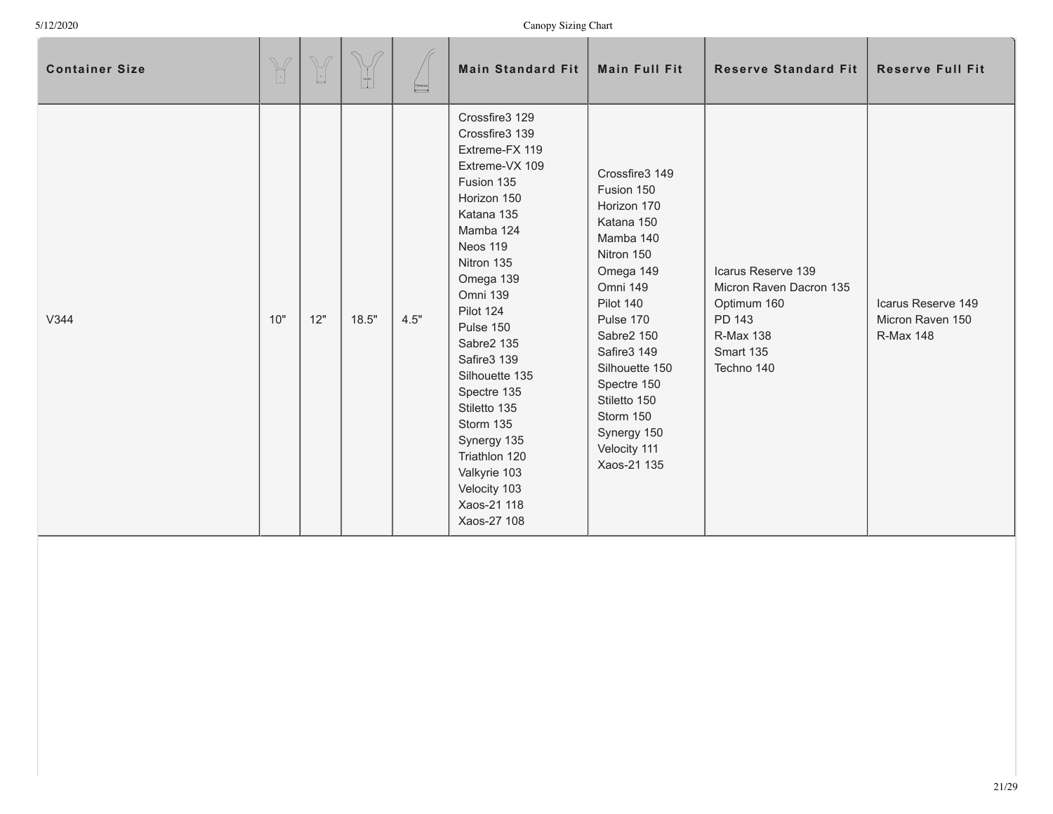| <b>Container Size</b> | $\mathbb{Y}$ | $\mathbb{V}$<br>$\lfloor \cdot \rfloor$ | $\bigcirc$ | Thidoness<br><sup>4</sup> | <b>Main Standard Fit</b>                                                                                                                                                                                                                                                                                                                                                                           | <b>Main Full Fit</b>                                                                                                                                                                                                                                                             | <b>Reserve Standard Fit</b>                                                                                           | <b>Reserve Full Fit</b>                                    |
|-----------------------|--------------|-----------------------------------------|------------|---------------------------|----------------------------------------------------------------------------------------------------------------------------------------------------------------------------------------------------------------------------------------------------------------------------------------------------------------------------------------------------------------------------------------------------|----------------------------------------------------------------------------------------------------------------------------------------------------------------------------------------------------------------------------------------------------------------------------------|-----------------------------------------------------------------------------------------------------------------------|------------------------------------------------------------|
| V344                  | 10"          | 12"                                     | 18.5"      | 4.5"                      | Crossfire3 129<br>Crossfire3 139<br>Extreme-FX 119<br>Extreme-VX 109<br>Fusion 135<br>Horizon 150<br>Katana 135<br>Mamba 124<br>Neos 119<br>Nitron 135<br>Omega 139<br>Omni 139<br>Pilot 124<br>Pulse 150<br>Sabre2 135<br>Safire3 139<br>Silhouette 135<br>Spectre 135<br>Stiletto 135<br>Storm 135<br>Synergy 135<br>Triathlon 120<br>Valkyrie 103<br>Velocity 103<br>Xaos-21 118<br>Xaos-27 108 | Crossfire3 149<br>Fusion 150<br>Horizon 170<br>Katana 150<br>Mamba 140<br>Nitron 150<br>Omega 149<br>Omni 149<br>Pilot 140<br>Pulse 170<br>Sabre2 150<br>Safire3 149<br>Silhouette 150<br>Spectre 150<br>Stiletto 150<br>Storm 150<br>Synergy 150<br>Velocity 111<br>Xaos-21 135 | Icarus Reserve 139<br>Micron Raven Dacron 135<br>Optimum 160<br>PD 143<br><b>R-Max 138</b><br>Smart 135<br>Techno 140 | Icarus Reserve 149<br>Micron Raven 150<br><b>R-Max 148</b> |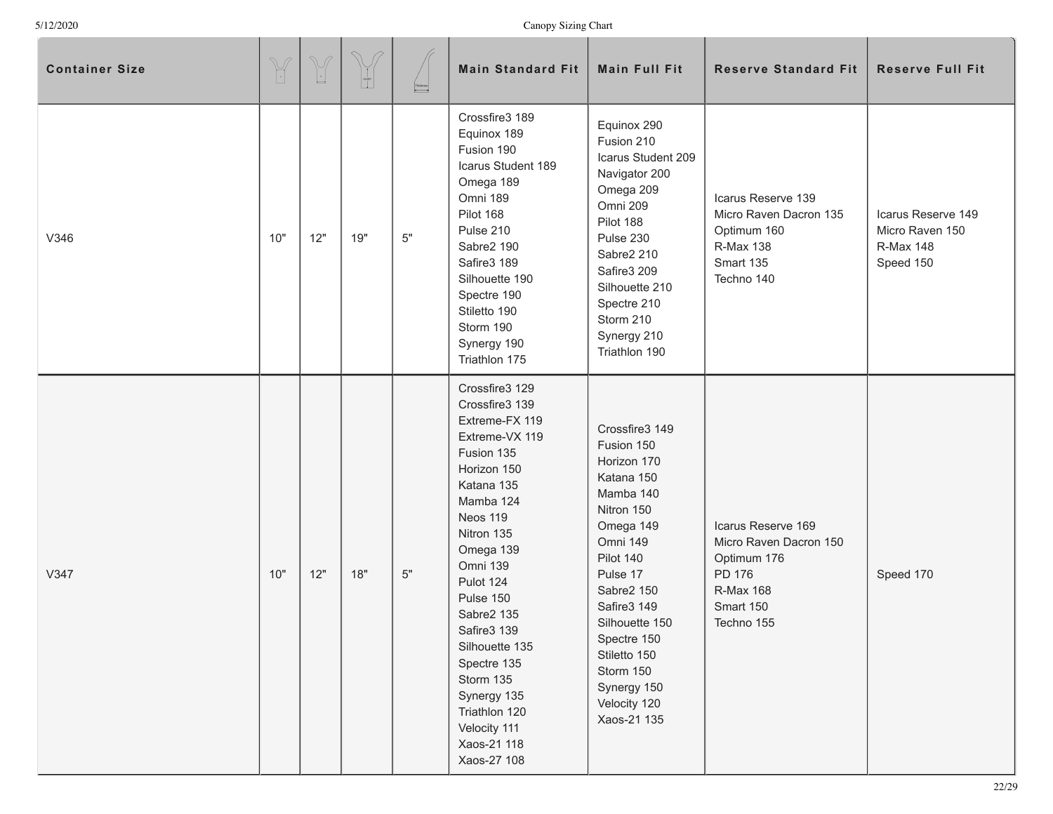| <b>Container Size</b> | $\begin{picture}(42,14) \put(0,0){\vector(0,1){10}} \put(15,0){\vector(0,1){10}} \put(15,0){\vector(0,1){10}} \put(15,0){\vector(0,1){10}} \put(15,0){\vector(0,1){10}} \put(15,0){\vector(0,1){10}} \put(15,0){\vector(0,1){10}} \put(15,0){\vector(0,1){10}} \put(15,0){\vector(0,1){10}} \put(15,0){\vector(0,1){10}} \put(15,0){\vector(0,1){10}} \put(15,0){\vector(0$ | $\begin{picture}(42,14) \put(0,0){\line(1,0){155}} \put(15,0){\line(1,0){155}} \put(15,0){\line(1,0){155}} \put(15,0){\line(1,0){155}} \put(15,0){\line(1,0){155}} \put(15,0){\line(1,0){155}} \put(15,0){\line(1,0){155}} \put(15,0){\line(1,0){155}} \put(15,0){\line(1,0){155}} \put(15,0){\line(1,0){155}} \put(15,0){\line(1,0){155}} \$ | $\begin{bmatrix} 1 \\ 1 \\ 0 \end{bmatrix}$ | $\overline{\phantom{a}}$ | <b>Main Standard Fit</b>                                                                                                                                                                                                                                                                                                                                                  | <b>Main Full Fit</b>                                                                                                                                                                                                                                                            | <b>Reserve Standard Fit</b>                                                                                   | <b>Reserve Full Fit</b>                                                |
|-----------------------|-----------------------------------------------------------------------------------------------------------------------------------------------------------------------------------------------------------------------------------------------------------------------------------------------------------------------------------------------------------------------------|-----------------------------------------------------------------------------------------------------------------------------------------------------------------------------------------------------------------------------------------------------------------------------------------------------------------------------------------------|---------------------------------------------|--------------------------|---------------------------------------------------------------------------------------------------------------------------------------------------------------------------------------------------------------------------------------------------------------------------------------------------------------------------------------------------------------------------|---------------------------------------------------------------------------------------------------------------------------------------------------------------------------------------------------------------------------------------------------------------------------------|---------------------------------------------------------------------------------------------------------------|------------------------------------------------------------------------|
| V346                  | 10"                                                                                                                                                                                                                                                                                                                                                                         | 12"                                                                                                                                                                                                                                                                                                                                           | 19"                                         | $5"$                     | Crossfire3 189<br>Equinox 189<br>Fusion 190<br>Icarus Student 189<br>Omega 189<br>Omni 189<br>Pilot 168<br>Pulse 210<br>Sabre2 190<br>Safire3 189<br>Silhouette 190<br>Spectre 190<br>Stiletto 190<br>Storm 190<br>Synergy 190<br>Triathlon 175                                                                                                                           | Equinox 290<br>Fusion 210<br>Icarus Student 209<br>Navigator 200<br>Omega 209<br>Omni 209<br>Pilot 188<br>Pulse 230<br>Sabre2 210<br>Safire3 209<br>Silhouette 210<br>Spectre 210<br>Storm 210<br>Synergy 210<br>Triathlon 190                                                  | Icarus Reserve 139<br>Micro Raven Dacron 135<br>Optimum 160<br>R-Max 138<br>Smart 135<br>Techno 140           | Icarus Reserve 149<br>Micro Raven 150<br><b>R-Max 148</b><br>Speed 150 |
| V347                  | 10"                                                                                                                                                                                                                                                                                                                                                                         | 12"                                                                                                                                                                                                                                                                                                                                           | 18"                                         | $5"$                     | Crossfire3 129<br>Crossfire3 139<br>Extreme-FX 119<br>Extreme-VX 119<br>Fusion 135<br>Horizon 150<br>Katana 135<br>Mamba 124<br>Neos 119<br>Nitron 135<br>Omega 139<br><b>Omni 139</b><br>Pulot 124<br>Pulse 150<br>Sabre2 135<br>Safire3 139<br>Silhouette 135<br>Spectre 135<br>Storm 135<br>Synergy 135<br>Triathlon 120<br>Velocity 111<br>Xaos-21 118<br>Xaos-27 108 | Crossfire3 149<br>Fusion 150<br>Horizon 170<br>Katana 150<br>Mamba 140<br>Nitron 150<br>Omega 149<br>Omni 149<br>Pilot 140<br>Pulse 17<br>Sabre2 150<br>Safire3 149<br>Silhouette 150<br>Spectre 150<br>Stiletto 150<br>Storm 150<br>Synergy 150<br>Velocity 120<br>Xaos-21 135 | Icarus Reserve 169<br>Micro Raven Dacron 150<br>Optimum 176<br>PD 176<br>R-Max 168<br>Smart 150<br>Techno 155 | Speed 170                                                              |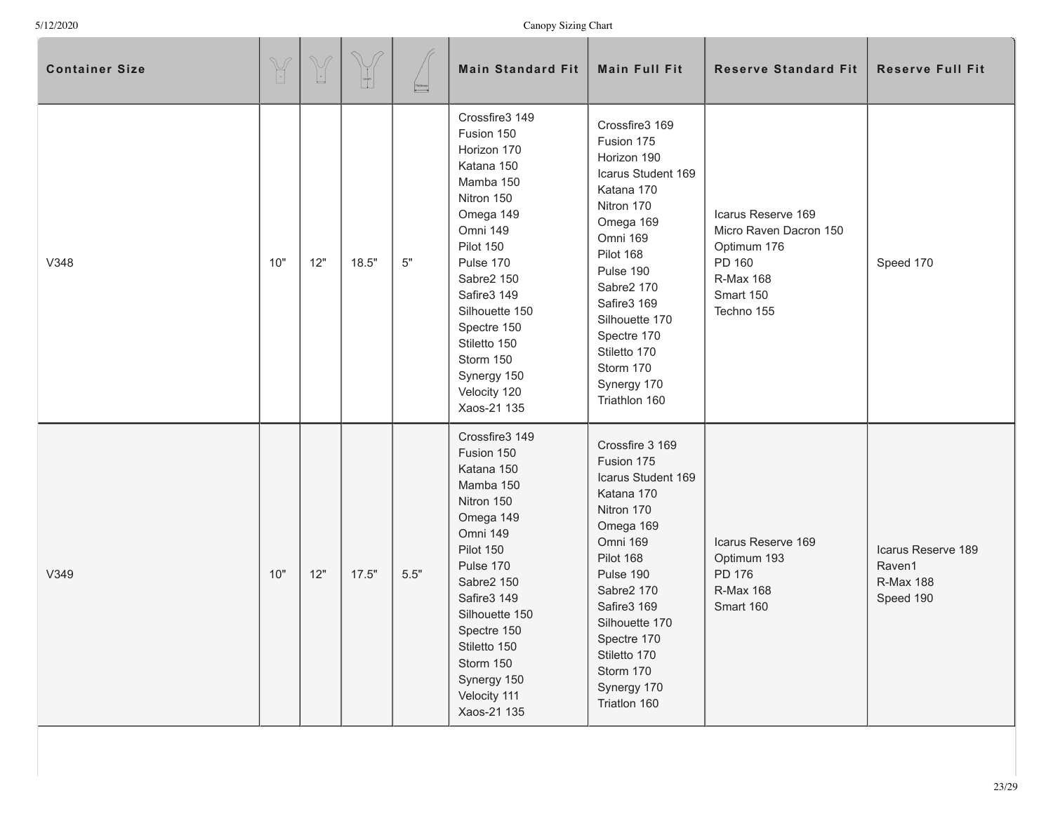| <b>Container Size</b> | $\mathbb{Y}$ | $\begin{picture}(42,14) \put(0,0){\line(1,0){155}} \put(15,0){\line(1,0){155}} \put(15,0){\line(1,0){155}} \put(15,0){\line(1,0){155}} \put(15,0){\line(1,0){155}} \put(15,0){\line(1,0){155}} \put(15,0){\line(1,0){155}} \put(15,0){\line(1,0){155}} \put(15,0){\line(1,0){155}} \put(15,0){\line(1,0){155}} \put(15,0){\line(1,0){155}} \$ | $\begin{bmatrix} 1 \\ -1 \\ 0 \\ 0 \end{bmatrix}$ | Thidosess | <b>Main Standard Fit</b>                                                                                                                                                                                                                                                         | <b>Main Full Fit</b>                                                                                                                                                                                                                                                        | <b>Reserve Standard Fit</b>                                                                                   | <b>Reserve Full Fit</b>                                       |
|-----------------------|--------------|-----------------------------------------------------------------------------------------------------------------------------------------------------------------------------------------------------------------------------------------------------------------------------------------------------------------------------------------------|---------------------------------------------------|-----------|----------------------------------------------------------------------------------------------------------------------------------------------------------------------------------------------------------------------------------------------------------------------------------|-----------------------------------------------------------------------------------------------------------------------------------------------------------------------------------------------------------------------------------------------------------------------------|---------------------------------------------------------------------------------------------------------------|---------------------------------------------------------------|
| V348                  | 10"          | 12"                                                                                                                                                                                                                                                                                                                                           | 18.5"                                             | $5"$      | Crossfire3 149<br>Fusion 150<br>Horizon 170<br>Katana 150<br>Mamba 150<br>Nitron 150<br>Omega 149<br>Omni 149<br>Pilot 150<br>Pulse 170<br>Sabre2 150<br>Safire3 149<br>Silhouette 150<br>Spectre 150<br>Stiletto 150<br>Storm 150<br>Synergy 150<br>Velocity 120<br>Xaos-21 135 | Crossfire3 169<br>Fusion 175<br>Horizon 190<br>Icarus Student 169<br>Katana 170<br>Nitron 170<br>Omega 169<br>Omni 169<br>Pilot 168<br>Pulse 190<br>Sabre2 170<br>Safire3 169<br>Silhouette 170<br>Spectre 170<br>Stiletto 170<br>Storm 170<br>Synergy 170<br>Triathlon 160 | Icarus Reserve 169<br>Micro Raven Dacron 150<br>Optimum 176<br>PD 160<br>R-Max 168<br>Smart 150<br>Techno 155 | Speed 170                                                     |
| V349                  | 10"          | 12"                                                                                                                                                                                                                                                                                                                                           | 17.5"                                             | $5.5"$    | Crossfire3 149<br>Fusion 150<br>Katana 150<br>Mamba 150<br>Nitron 150<br>Omega 149<br>Omni 149<br>Pilot 150<br>Pulse 170<br>Sabre2 150<br>Safire3 149<br>Silhouette 150<br>Spectre 150<br>Stiletto 150<br>Storm 150<br>Synergy 150<br>Velocity 111<br>Xaos-21 135                | Crossfire 3 169<br>Fusion 175<br>Icarus Student 169<br>Katana 170<br>Nitron 170<br>Omega 169<br>Omni 169<br>Pilot 168<br>Pulse 190<br>Sabre2 170<br>Safire3 169<br>Silhouette 170<br>Spectre 170<br>Stiletto 170<br>Storm 170<br>Synergy 170<br>Triatlon 160                | Icarus Reserve 169<br>Optimum 193<br>PD 176<br><b>R-Max 168</b><br>Smart 160                                  | Icarus Reserve 189<br>Raven1<br><b>R-Max 188</b><br>Speed 190 |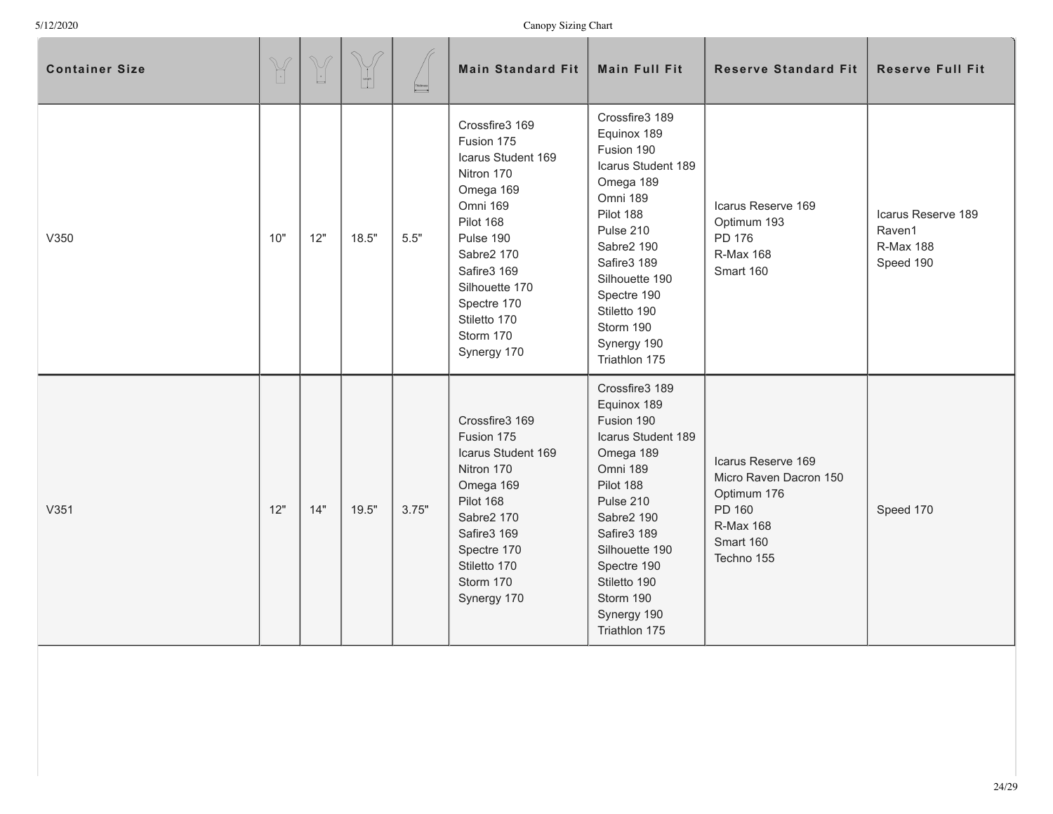| <b>Container Size</b> | $\mathbb{Y}$ | $\begin{picture}(220,20) \put(0,0){\line(1,0){155}} \put(15,0){\line(1,0){155}} \put(15,0){\line(1,0){155}} \put(15,0){\line(1,0){155}} \put(15,0){\line(1,0){155}} \put(15,0){\line(1,0){155}} \put(15,0){\line(1,0){155}} \put(15,0){\line(1,0){155}} \put(15,0){\line(1,0){155}} \put(15,0){\line(1,0){155}} \put(15,0){\line(1,0){155}}$ |       |        | <b>Main Standard Fit</b>                                                                                                                                                                                                      | <b>Main Full Fit</b>                                                                                                                                                                                                                            | <b>Reserve Standard Fit</b>                                                                                          | <b>Reserve Full Fit</b>                                       |
|-----------------------|--------------|----------------------------------------------------------------------------------------------------------------------------------------------------------------------------------------------------------------------------------------------------------------------------------------------------------------------------------------------|-------|--------|-------------------------------------------------------------------------------------------------------------------------------------------------------------------------------------------------------------------------------|-------------------------------------------------------------------------------------------------------------------------------------------------------------------------------------------------------------------------------------------------|----------------------------------------------------------------------------------------------------------------------|---------------------------------------------------------------|
| V350                  | 10"          | 12"                                                                                                                                                                                                                                                                                                                                          | 18.5" | $5.5"$ | Crossfire3 169<br>Fusion 175<br>Icarus Student 169<br>Nitron 170<br>Omega 169<br>Omni 169<br>Pilot 168<br>Pulse 190<br>Sabre2 170<br>Safire3 169<br>Silhouette 170<br>Spectre 170<br>Stiletto 170<br>Storm 170<br>Synergy 170 | Crossfire3 189<br>Equinox 189<br>Fusion 190<br>Icarus Student 189<br>Omega 189<br>Omni 189<br>Pilot 188<br>Pulse 210<br>Sabre2 190<br>Safire3 189<br>Silhouette 190<br>Spectre 190<br>Stiletto 190<br>Storm 190<br>Synergy 190<br>Triathlon 175 | Icarus Reserve 169<br>Optimum 193<br>PD 176<br><b>R-Max 168</b><br>Smart 160                                         | Icarus Reserve 189<br>Raven1<br><b>R-Max 188</b><br>Speed 190 |
| V351                  | 12"          | 14"                                                                                                                                                                                                                                                                                                                                          | 19.5" | 3.75"  | Crossfire3 169<br>Fusion 175<br>Icarus Student 169<br>Nitron 170<br>Omega 169<br>Pilot 168<br>Sabre2 170<br>Safire3 169<br>Spectre 170<br>Stiletto 170<br>Storm 170<br>Synergy 170                                            | Crossfire3 189<br>Equinox 189<br>Fusion 190<br>Icarus Student 189<br>Omega 189<br>Omni 189<br>Pilot 188<br>Pulse 210<br>Sabre2 190<br>Safire3 189<br>Silhouette 190<br>Spectre 190<br>Stiletto 190<br>Storm 190<br>Synergy 190<br>Triathlon 175 | Icarus Reserve 169<br>Micro Raven Dacron 150<br>Optimum 176<br>PD 160<br><b>R-Max 168</b><br>Smart 160<br>Techno 155 | Speed 170                                                     |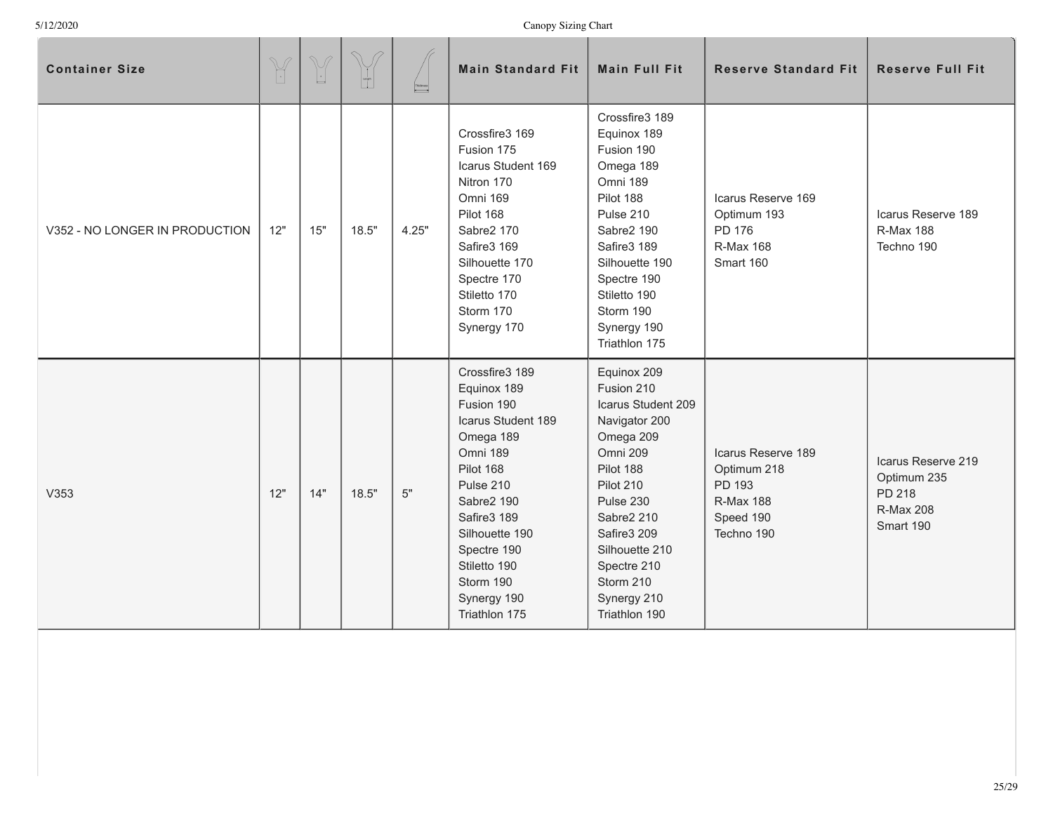| <b>Container Size</b>          | $\begin{picture}(42,14) \put(0,0){\vector(0,1){10}} \put(15,0){\vector(0,1){10}} \put(15,0){\vector(0,1){10}} \put(15,0){\vector(0,1){10}} \put(15,0){\vector(0,1){10}} \put(15,0){\vector(0,1){10}} \put(15,0){\vector(0,1){10}} \put(15,0){\vector(0,1){10}} \put(15,0){\vector(0,1){10}} \put(15,0){\vector(0,1){10}} \put(15,0){\vector(0,1){10}} \put(15,0){\vector(0$ | $\mathbb{V}$<br>$\lfloor \cdot \rfloor$ |       | Thidosess<br><b>A</b> | <b>Main Standard Fit</b>                                                                                                                                                                                                                        | <b>Main Full Fit</b>                                                                                                                                                                                                                        | <b>Reserve Standard Fit</b>                                                                | <b>Reserve Full Fit</b>                                                      |
|--------------------------------|-----------------------------------------------------------------------------------------------------------------------------------------------------------------------------------------------------------------------------------------------------------------------------------------------------------------------------------------------------------------------------|-----------------------------------------|-------|-----------------------|-------------------------------------------------------------------------------------------------------------------------------------------------------------------------------------------------------------------------------------------------|---------------------------------------------------------------------------------------------------------------------------------------------------------------------------------------------------------------------------------------------|--------------------------------------------------------------------------------------------|------------------------------------------------------------------------------|
| V352 - NO LONGER IN PRODUCTION | 12"                                                                                                                                                                                                                                                                                                                                                                         | 15"                                     | 18.5" | 4.25"                 | Crossfire3 169<br>Fusion 175<br>Icarus Student 169<br>Nitron 170<br>Omni 169<br>Pilot 168<br>Sabre2 170<br>Safire3 169<br>Silhouette 170<br>Spectre 170<br>Stiletto 170<br>Storm 170<br>Synergy 170                                             | Crossfire3 189<br>Equinox 189<br>Fusion 190<br>Omega 189<br>Omni 189<br>Pilot 188<br>Pulse 210<br>Sabre2 190<br>Safire3 189<br>Silhouette 190<br>Spectre 190<br>Stiletto 190<br>Storm 190<br>Synergy 190<br>Triathlon 175                   | Icarus Reserve 169<br>Optimum 193<br>PD 176<br>R-Max 168<br>Smart 160                      | Icarus Reserve 189<br><b>R-Max 188</b><br>Techno 190                         |
| V353                           | 12"                                                                                                                                                                                                                                                                                                                                                                         | 14"                                     | 18.5" | 5"                    | Crossfire3 189<br>Equinox 189<br>Fusion 190<br>Icarus Student 189<br>Omega 189<br>Omni 189<br>Pilot 168<br>Pulse 210<br>Sabre2 190<br>Safire3 189<br>Silhouette 190<br>Spectre 190<br>Stiletto 190<br>Storm 190<br>Synergy 190<br>Triathlon 175 | Equinox 209<br>Fusion 210<br>Icarus Student 209<br>Navigator 200<br>Omega 209<br>Omni 209<br>Pilot 188<br>Pilot 210<br>Pulse 230<br>Sabre2 210<br>Safire3 209<br>Silhouette 210<br>Spectre 210<br>Storm 210<br>Synergy 210<br>Triathlon 190 | Icarus Reserve 189<br>Optimum 218<br>PD 193<br><b>R-Max 188</b><br>Speed 190<br>Techno 190 | Icarus Reserve 219<br>Optimum 235<br>PD 218<br><b>R-Max 208</b><br>Smart 190 |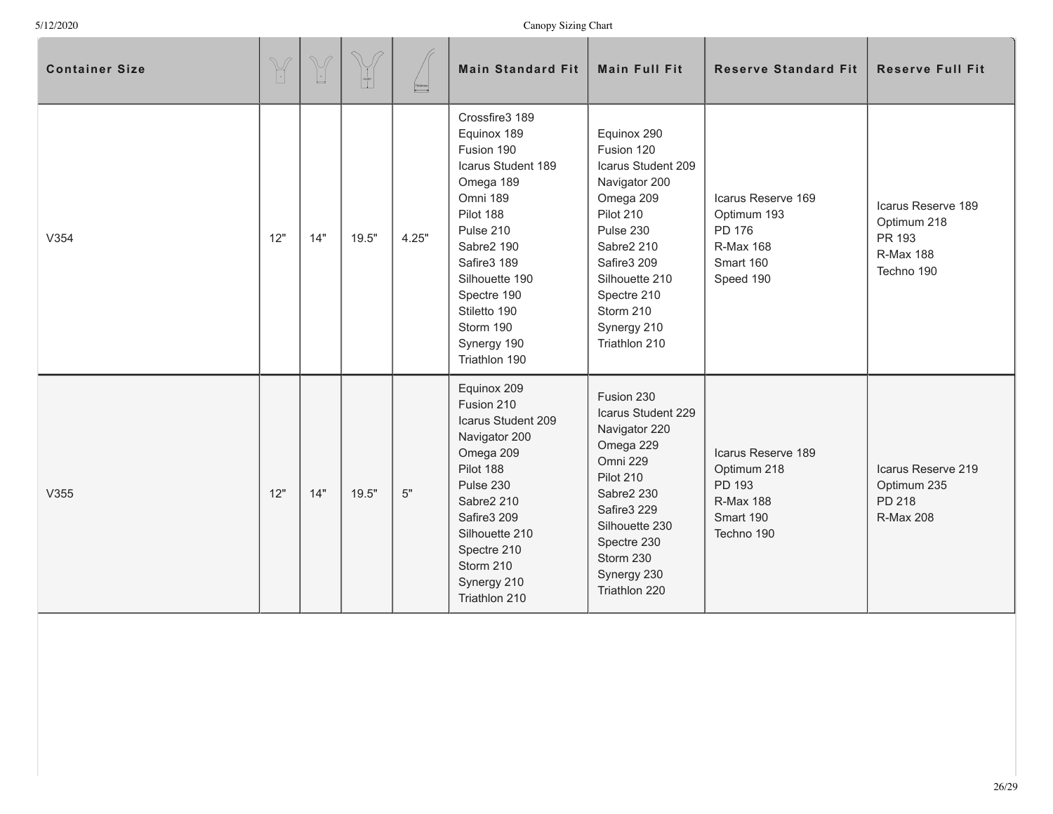| <b>Container Size</b> | $\begin{picture}(420,40) \put(0,0){\vector(0,1){10}} \put(15,0){\vector(0,1){10}} \put(15,0){\vector(0,1){10}} \put(15,0){\vector(0,1){10}} \put(15,0){\vector(0,1){10}} \put(15,0){\vector(0,1){10}} \put(15,0){\vector(0,1){10}} \put(15,0){\vector(0,1){10}} \put(15,0){\vector(0,1){10}} \put(15,0){\vector(0,1){10}} \put(15,0){\vector(0,1){10}} \put(15,0){\vector($ | $\begin{picture}(220,20) \put(0,0){\line(1,0){10}} \put(15,0){\line(1,0){10}} \put(15,0){\line(1,0){10}} \put(15,0){\line(1,0){10}} \put(15,0){\line(1,0){10}} \put(15,0){\line(1,0){10}} \put(15,0){\line(1,0){10}} \put(15,0){\line(1,0){10}} \put(15,0){\line(1,0){10}} \put(15,0){\line(1,0){10}} \put(15,0){\line(1,0){10}} \put(15,0){\line($ | $\bigcirc$<br>$\begin{bmatrix} 1 \\ 1 \\ 0 \end{bmatrix}$ | Thidosess | <b>Main Standard Fit</b>                                                                                                                                                                                                                        | <b>Main Full Fit</b>                                                                                                                                                                                               | <b>Reserve Standard Fit</b>                                                                | <b>Reserve Full Fit</b>                                                       |
|-----------------------|-----------------------------------------------------------------------------------------------------------------------------------------------------------------------------------------------------------------------------------------------------------------------------------------------------------------------------------------------------------------------------|-----------------------------------------------------------------------------------------------------------------------------------------------------------------------------------------------------------------------------------------------------------------------------------------------------------------------------------------------------|-----------------------------------------------------------|-----------|-------------------------------------------------------------------------------------------------------------------------------------------------------------------------------------------------------------------------------------------------|--------------------------------------------------------------------------------------------------------------------------------------------------------------------------------------------------------------------|--------------------------------------------------------------------------------------------|-------------------------------------------------------------------------------|
| V354                  | 12"                                                                                                                                                                                                                                                                                                                                                                         | 14"                                                                                                                                                                                                                                                                                                                                                 | 19.5"                                                     | 4.25"     | Crossfire3 189<br>Equinox 189<br>Fusion 190<br>Icarus Student 189<br>Omega 189<br>Omni 189<br>Pilot 188<br>Pulse 210<br>Sabre2 190<br>Safire3 189<br>Silhouette 190<br>Spectre 190<br>Stiletto 190<br>Storm 190<br>Synergy 190<br>Triathlon 190 | Equinox 290<br>Fusion 120<br>Icarus Student 209<br>Navigator 200<br>Omega 209<br>Pilot 210<br>Pulse 230<br>Sabre2 210<br>Safire3 209<br>Silhouette 210<br>Spectre 210<br>Storm 210<br>Synergy 210<br>Triathlon 210 | Icarus Reserve 169<br>Optimum 193<br>PD 176<br>R-Max 168<br>Smart 160<br>Speed 190         | Icarus Reserve 189<br>Optimum 218<br>PR 193<br><b>R-Max 188</b><br>Techno 190 |
| V355                  | 12"                                                                                                                                                                                                                                                                                                                                                                         | 14"                                                                                                                                                                                                                                                                                                                                                 | 19.5"                                                     | $5"$      | Equinox 209<br>Fusion 210<br>Icarus Student 209<br>Navigator 200<br>Omega 209<br>Pilot 188<br>Pulse 230<br>Sabre2 210<br>Safire3 209<br>Silhouette 210<br>Spectre 210<br>Storm 210<br>Synergy 210<br>Triathlon 210                              | Fusion 230<br>Icarus Student 229<br>Navigator 220<br>Omega 229<br>Omni 229<br>Pilot 210<br>Sabre2 230<br>Safire3 229<br>Silhouette 230<br>Spectre 230<br>Storm 230<br>Synergy 230<br>Triathlon 220                 | Icarus Reserve 189<br>Optimum 218<br>PD 193<br><b>R-Max 188</b><br>Smart 190<br>Techno 190 | Icarus Reserve 219<br>Optimum 235<br>PD 218<br><b>R-Max 208</b>               |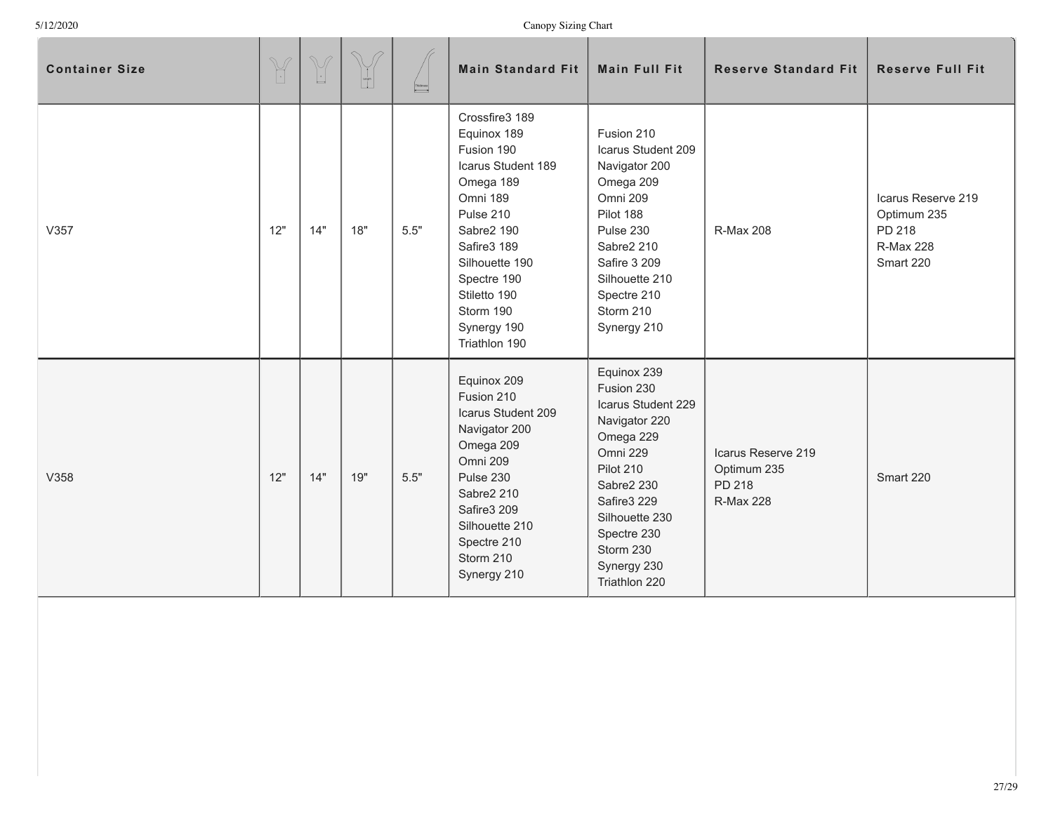| <b>Container Size</b> | $\begin{picture}(42,14) \put(0,0){\vector(0,1){10}} \put(15,0){\vector(0,1){10}} \put(15,0){\vector(0,1){10}} \put(15,0){\vector(0,1){10}} \put(15,0){\vector(0,1){10}} \put(15,0){\vector(0,1){10}} \put(15,0){\vector(0,1){10}} \put(15,0){\vector(0,1){10}} \put(15,0){\vector(0,1){10}} \put(15,0){\vector(0,1){10}} \put(15,0){\vector(0,1){10}} \put(15,0){\vector(0$ | $\begin{picture}(220,20) \put(0,0){\line(1,0){10}} \put(15,0){\line(1,0){10}} \put(15,0){\line(1,0){10}} \put(15,0){\line(1,0){10}} \put(15,0){\line(1,0){10}} \put(15,0){\line(1,0){10}} \put(15,0){\line(1,0){10}} \put(15,0){\line(1,0){10}} \put(15,0){\line(1,0){10}} \put(15,0){\line(1,0){10}} \put(15,0){\line(1,0){10}} \put(15,0){\line($ | $\curvearrowright$<br>$\begin{array}{ c } \hline \text{teegr} \\ \hline \end{array}$ | $\begin{tabular}{ c c } \hline Theones \\ \hline \end{tabular}$ | <b>Main Standard Fit</b>                                                                                                                                                                                                           | <b>Main Full Fit</b>                                                                                                                                                                                              | <b>Reserve Standard Fit</b>                                     | <b>Reserve Full Fit</b>                                                      |
|-----------------------|-----------------------------------------------------------------------------------------------------------------------------------------------------------------------------------------------------------------------------------------------------------------------------------------------------------------------------------------------------------------------------|-----------------------------------------------------------------------------------------------------------------------------------------------------------------------------------------------------------------------------------------------------------------------------------------------------------------------------------------------------|--------------------------------------------------------------------------------------|-----------------------------------------------------------------|------------------------------------------------------------------------------------------------------------------------------------------------------------------------------------------------------------------------------------|-------------------------------------------------------------------------------------------------------------------------------------------------------------------------------------------------------------------|-----------------------------------------------------------------|------------------------------------------------------------------------------|
| V357                  | 12"                                                                                                                                                                                                                                                                                                                                                                         | 14"                                                                                                                                                                                                                                                                                                                                                 | 18"                                                                                  | 5.5"                                                            | Crossfire3 189<br>Equinox 189<br>Fusion 190<br>Icarus Student 189<br>Omega 189<br>Omni 189<br>Pulse 210<br>Sabre2 190<br>Safire3 189<br>Silhouette 190<br>Spectre 190<br>Stiletto 190<br>Storm 190<br>Synergy 190<br>Triathlon 190 | Fusion 210<br>Icarus Student 209<br>Navigator 200<br>Omega 209<br>Omni 209<br>Pilot 188<br>Pulse 230<br>Sabre2 210<br>Safire 3 209<br>Silhouette 210<br>Spectre 210<br>Storm 210<br>Synergy 210                   | <b>R-Max 208</b>                                                | Icarus Reserve 219<br>Optimum 235<br>PD 218<br><b>R-Max 228</b><br>Smart 220 |
| V358                  | 12"                                                                                                                                                                                                                                                                                                                                                                         | 14"                                                                                                                                                                                                                                                                                                                                                 | 19"                                                                                  | 5.5"                                                            | Equinox 209<br>Fusion 210<br>Icarus Student 209<br>Navigator 200<br>Omega 209<br>Omni 209<br>Pulse 230<br>Sabre2 210<br>Safire3 209<br>Silhouette 210<br>Spectre 210<br>Storm 210<br>Synergy 210                                   | Equinox 239<br>Fusion 230<br>Icarus Student 229<br>Navigator 220<br>Omega 229<br>Omni 229<br>Pilot 210<br>Sabre2 230<br>Safire3 229<br>Silhouette 230<br>Spectre 230<br>Storm 230<br>Synergy 230<br>Triathlon 220 | Icarus Reserve 219<br>Optimum 235<br>PD 218<br><b>R-Max 228</b> | Smart 220                                                                    |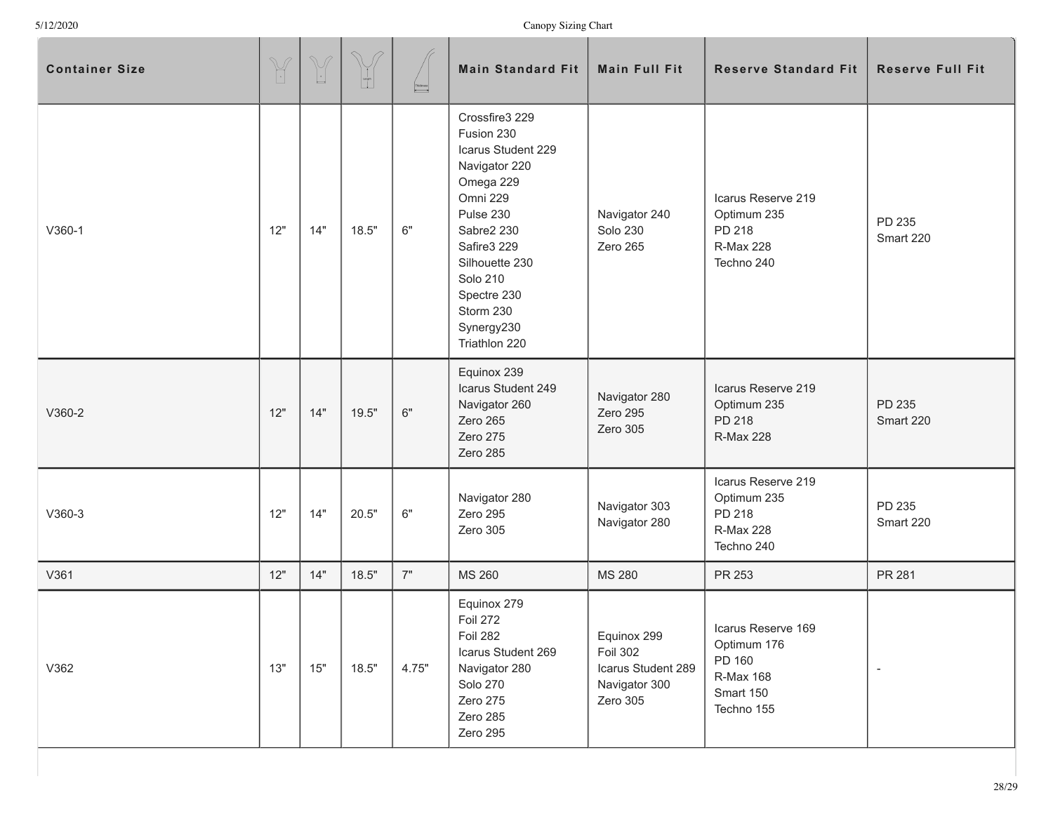| <b>Container Size</b> | $\mathbb{Y}$ | $\begin{picture}(220,20) \put(0,0){\line(1,0){10}} \put(15,0){\line(1,0){10}} \put(15,0){\line(1,0){10}} \put(15,0){\line(1,0){10}} \put(15,0){\line(1,0){10}} \put(15,0){\line(1,0){10}} \put(15,0){\line(1,0){10}} \put(15,0){\line(1,0){10}} \put(15,0){\line(1,0){10}} \put(15,0){\line(1,0){10}} \put(15,0){\line(1,0){10}} \put(15,0){\line($ | $\begin{bmatrix} 1 \\ -1 \\ 0 \\ 0 \end{bmatrix}$ | Thidosess<br><del>- - - - - -</del> | <b>Main Standard Fit</b>                                                                                                                                                                                                               | <b>Main Full Fit</b>                                                              | <b>Reserve Standard Fit</b>                                                         | <b>Reserve Full Fit</b> |
|-----------------------|--------------|-----------------------------------------------------------------------------------------------------------------------------------------------------------------------------------------------------------------------------------------------------------------------------------------------------------------------------------------------------|---------------------------------------------------|-------------------------------------|----------------------------------------------------------------------------------------------------------------------------------------------------------------------------------------------------------------------------------------|-----------------------------------------------------------------------------------|-------------------------------------------------------------------------------------|-------------------------|
| $V360-1$              | 12"          | 14"                                                                                                                                                                                                                                                                                                                                                 | 18.5"                                             | $6"$                                | Crossfire3 229<br>Fusion 230<br>Icarus Student 229<br>Navigator 220<br>Omega 229<br>Omni 229<br>Pulse 230<br>Sabre2 230<br>Safire3 229<br>Silhouette 230<br><b>Solo 210</b><br>Spectre 230<br>Storm 230<br>Synergy230<br>Triathlon 220 | Navigator 240<br><b>Solo 230</b><br>Zero 265                                      | Icarus Reserve 219<br>Optimum 235<br>PD 218<br><b>R-Max 228</b><br>Techno 240       | PD 235<br>Smart 220     |
| $V360-2$              | 12"          | 14"                                                                                                                                                                                                                                                                                                                                                 | 19.5"                                             | $6"$                                | Equinox 239<br>Icarus Student 249<br>Navigator 260<br>Zero 265<br>Zero 275<br>Zero 285                                                                                                                                                 | Navigator 280<br>Zero 295<br>Zero 305                                             | Icarus Reserve 219<br>Optimum 235<br>PD 218<br><b>R-Max 228</b>                     | PD 235<br>Smart 220     |
| V360-3                | 12"          | 14"                                                                                                                                                                                                                                                                                                                                                 | 20.5"                                             | $6"$                                | Navigator 280<br>Zero 295<br>Zero 305                                                                                                                                                                                                  | Navigator 303<br>Navigator 280                                                    | Icarus Reserve 219<br>Optimum 235<br>PD 218<br><b>R-Max 228</b><br>Techno 240       | PD 235<br>Smart 220     |
| V361                  | 12"          | 14"                                                                                                                                                                                                                                                                                                                                                 | 18.5"                                             | 7"                                  | MS 260                                                                                                                                                                                                                                 | <b>MS 280</b>                                                                     | PR 253                                                                              | PR 281                  |
| V362                  | 13"          | $15"$                                                                                                                                                                                                                                                                                                                                               | 18.5"                                             | 4.75"                               | Equinox 279<br><b>Foil 272</b><br><b>Foil 282</b><br>Icarus Student 269<br>Navigator 280<br><b>Solo 270</b><br>Zero 275<br>Zero 285<br>Zero 295                                                                                        | Equinox 299<br><b>Foil 302</b><br>Icarus Student 289<br>Navigator 300<br>Zero 305 | Icarus Reserve 169<br>Optimum 176<br>PD 160<br>R-Max 168<br>Smart 150<br>Techno 155 |                         |